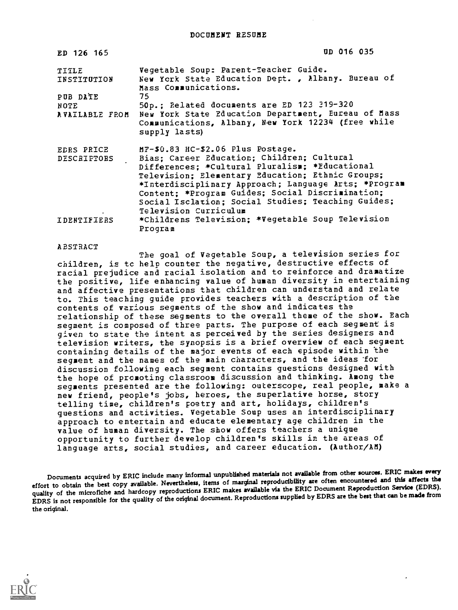| ED 126 165           | UD 016 035                                                                                                                                                                                                                                                                                                                                                                                  |
|----------------------|---------------------------------------------------------------------------------------------------------------------------------------------------------------------------------------------------------------------------------------------------------------------------------------------------------------------------------------------------------------------------------------------|
| TITLE<br>INSTITUTION | Vegetable Soup: Parent-Teacher Guide.<br>New York State Education Dept., Albany. Bureau of<br>Mass Communications.                                                                                                                                                                                                                                                                          |
| PUB DATE             | 75                                                                                                                                                                                                                                                                                                                                                                                          |
| NOTE <b>NOTE</b>     | 50p.; Related documents are ED 123 319-320<br>AVAILABLE FROM New York State Education Department, Eureau of Mass<br>Communications, Albany, New York 12234 (free while<br>supply lasts)                                                                                                                                                                                                     |
| DESCRIPTORS          | EDRS PRICE MF-\$0.83 HC-\$2.06 Plus Postage.<br>Bias; Career Education; Children; Cultural<br>Differences; *Cultural Pluralism; *Educational<br>Television; Elementary Education; Ethnic Groups;<br>*Interdisciplinary Approach; Language Arts; *Program<br>Content; *Program Guides; Social Discrimination;<br>Social Isclation; Social Studies; Teaching Guides;<br>Television Curriculum |
| IDENTIFIERS          | *Childrens Television; *Vegetable Soup Television<br>Program                                                                                                                                                                                                                                                                                                                                |

## **ABSTRACT**

The goal of Vegetable Soup, a television series for children, is to help counter the negative, destructive effects of racial prejudice and racial isolation and to reinforce and dramatize the positive, life enhancing value of human diversity in entertaining and affective presentations that children can understand and relate to. This teaching guide provides teachers with a description of the contents of various segments of the show and indicates the relationship of these segments to the overall theme of the show. Each segment is composed of three parts. The purpose of each segment is given to state the intent as perceived by the series designers and television writers, the synopsis is a brief overview of each segment containing details of the major events of each episode within the segment and the names of the main characters, and the ideas for discussion following each segment contains questions designed with the hope of promoting classroom discussion and thinking. Among the segments presented are the following: outerscope, real people, make a new friend, people's jobs, heroes, the superlative horse, story telling time, children's poetry and art, holidays, children's questions and activities. Vegetable Soup uses an interdisciplinary approach to entertain and educate elementary age children in the value of human diversity. The show offers teachers a unique opportunity to further develop children's skills in the areas of language arts, social studies, and career education. (Author/AM)

Documents acquired by ERIC include many informal unpublished materials not available from other sources. ERIC makes every effort to obtain the best copy available. Nevertheless, items of marginal reproducibility are often encountered and this affects the quality of the microfiche and hardcopy reproductions ERIC makes available via the ERIC Document Reproduction Service (EDRS). EDRS is not responsible for the quality of the original document. Reproductions supplied by EDRS are the best that can be made from the original.

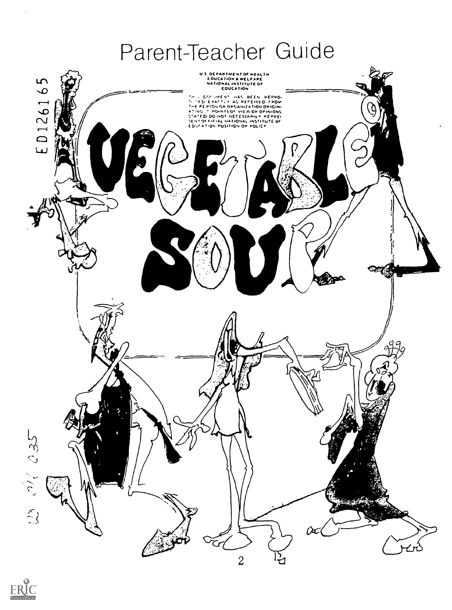# Parent-Teacher Guide



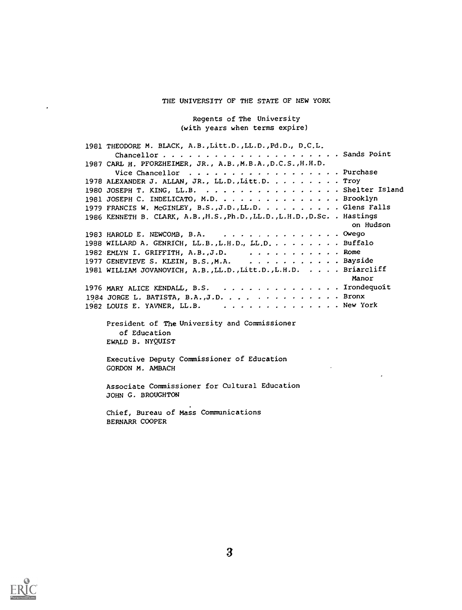## THE UNIVERSITY OF THE STATE OF NEW YORK

Regents of The University (with years when terms expire)

| 1981 THEODORE M. BLACK, A.B., Litt.D., LL.D., Pd.D., D.C.L.               |
|---------------------------------------------------------------------------|
|                                                                           |
| 1987 CARL H. PFORZHEIMER, JR., A.B., M.B.A., D.C.S., H.H.D.               |
| Vice Chancellor $\dots \dots \dots \dots \dots \dots$ . Purchase          |
| 1978 ALEXANDER J. ALLAN, JR., LL.D., Litt.D. Troy                         |
| 1980 JOSEPH T. KING, LL.B. Shelter Island                                 |
| 1981 JOSEPH C. INDELICATO, M.D. Brooklyn                                  |
| 1979 FRANCIS W. McGINLEY, B.S., J.D., LL.D. Glens Falls                   |
| 1986 KENNETH B. CLARK, A.B., H.S., Ph.D., LL.D., L.H.D., D.Sc. . Hastings |
| on Hudson                                                                 |
|                                                                           |
| 1983 HAROLD E. NEWCOMB, B.A. $\cdots$ . Owego                             |
| 1988 WILLARD A. GENRICH, LL.B., L.H.D., LL.D Buffalo                      |
| 1982 EMLYN I. GRIFFITH, A.B., J.D. $\ldots$ , ,  Rome                     |
| 1977 GENEVIEVE S. KLEIN, B.S., M.A. Bayside                               |
| 1981 WILLIAM JOVANOVICH, A.B., LL.D., Litt.D., L.H.D. Briarcliff          |
| Manor                                                                     |
| 1976 MARY ALICE KENDALL, B.S. Irondequoit                                 |
| 1984 JORGE L. BATISTA, B.A., J.D. Bronx                                   |
| 1982 LOUIS E. YAVNER, LL.B. New York                                      |

President of The University and Commissioner of Education EWALD B. NYQUIST

Executive Deputy Commissioner of Education GORDON M. AMBACH

Associate Commissioner for Cultural Education JOHN G. BROUGHTON

Chief, Bureau of Mass Communications BERNARR COOPER



 $\ddot{\phantom{a}}$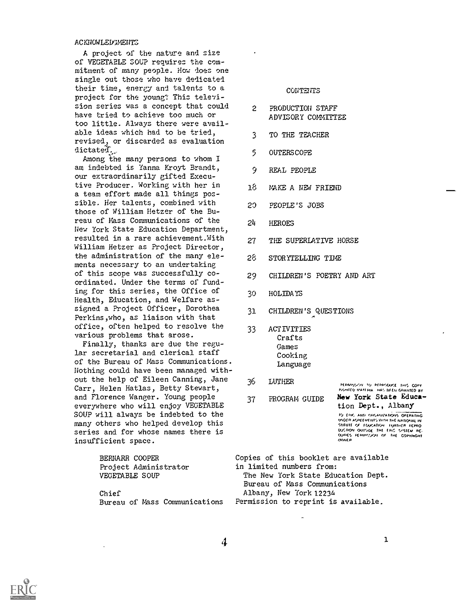## **ACKNOWLEDGMENTS**

A project of the nature and size of VEGETABLE SUP requires the commitment of many people. How does one single out those who have dedicated their time, energy and talents to a project for the young? This television series was a concept that could have tried to achieve too much or too little. Always there were available ideas which had to be tried, revised, or discarded as evaluation dictated.

Among the many persons to whom I am indebted is Yanna Kroyt Brandt, our extraordinarily gifted Executive Producer. Working with her in 18 a team effort made all things possible. Her talents, combined with  $20$ those of William Hetzer of the Bureau of Mass Communications of the  $24$ New York State Education Department, resulted in a rare achievement. With 27 William Hetzer as Project Director, the administration of the many elements necessary to an undertaking of this scope was successfully coordinated. Under the terms of funding for this series, the Office of 30 Health, Education, and Welfare assigned a Project Officer, Dorothea 31 Perkins,who, as liaison with that office, often helped to resolve the various problems that arose.

Finally, thanks are due the regular secretarial and clerical staff of the Bureau of Mass Communications. Nothing could have been managed without the help of Eileen Canning, Jane 36 Carr, Helen Hatlas, Betty Stewart, and Florence Wanger. Young people 37 everywhere who will enjoy VEGETABLE SOUP will always be indebted to the many others who helped develop this series and for whose names there is insufficient space.

> BERNARR COOPER Project Administrator VEGETABLE SOUP

## **CONTENTS**

- PRODUCTION STAFF ADVISORY COMMITTEE.
- TO THE TEACHER
- 5 OUTERSCOPE
- REAL PEOPLE
- 18 MAKE A NEW FRIEND
- PEOPLE'S JOBS
- **HEROES**
- THE SUPERLATIVE HORSE
- 28 STORYTELLING TINE
- 29 CHILDREN'S POETRY AND ART
- 30 HOLIDAYS
- CHILDREN'S QUESTIONS
- ACTIVITIES Crafts Games Cooking Language
	- **LUTHER** PLOMAGICAL TO PEPRYSOUSE THIS COPY<br>RIGHTEO MATERIA THAS BEEN GRANTED BY
- PROGRAM GUIDE New York State Education Dept., Albany

TO ERIC AND ORGANIZATIONS OPERATING UNDER ACREEMENTS WITH THE NATIONAL IN SUIUIE OF FOUCATION - FURTHER REPRO<br>OUCTION OUTSINE THE EMC SYSTEM RE:<br>OUIRES PERMISSION OF THE COPYRIGHT

Copies of this booklet are available in limited numbers from: The New York State Education Dept. Bureau of Mass Communications Chief Albany, New York 12234 Bureau of Mass Communications Permission to reprint is available.

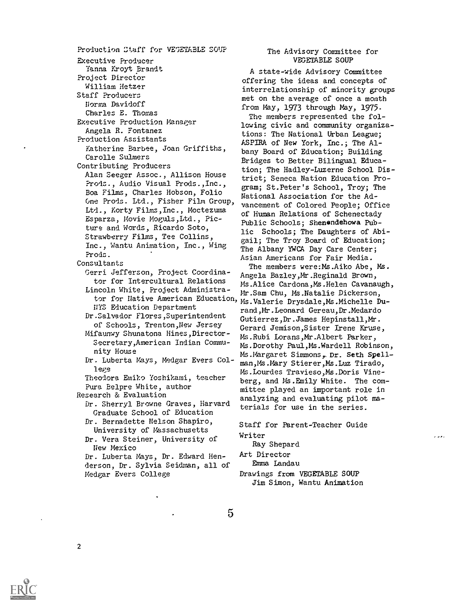Production Staff for VEGETABLE SOUP Executive Producer Yanna Kroyt Brandt Project Director William Hetzer Staff Producers Norma Davidoff Charles E. Thomas Executive Production Manager Angela R. Fontanez Production Assistants Katherine Barbee, Joan Griffiths, Carolle Sulmers Contributing Producers Alan Seeger Assoc., Allison House ?rods., Audio Visual Prods.,Inc., Boa Films, Charles Hobson, Folio One Prods. Ltd., Fisher Film Group Ltd., Korty Films,Inc., Moctezuma Esparza, Movie Moguls, Ltd., Picture and Words, Ricardo Soto, Strawberry Films, Tee Collins, Inc., Wantu Animation, Inc., Wing Prods. Consultants Gerri Jefferson, Project Coordinator for Intercultural Relations Lincoln White, Project Administra-NYS Education Department Dr.Salvador Flores,Superintendent of Schools, Trenton,New Jersey Mifaunwy Shunatona Hines,Director-Secretary,American Indian Community House Dr. Luberta Mays, Medgar Evers College Theodora Emiko Yochikami, teacher Pura Belpre White, author Research & Evaluation Dr. Sherryl Browne Graves, Harvard Graduate School of Education Dr. Bernadette Nelson Shapiro, University of Massachusetts Dr. Vera Steiner, University of New Mexico Dr. Luberta Mays, Dr. Edward Henderson, Dr. Sylvia Seidman, all of Medgar Evers College

## The Advisory Committee for VEGETABLE SOUP

A state-wide Advisory Committee offering the ideas and concepts of interrelationship of minority groups met on the average of once a month from May, 1973 through May, 1975.

The members represented the following civic and community organizations: The National Urban League; ASPIRA of New York, Inc.; The Albany Board of Education; Building Bridges to Better Bilingual Education; The Hadley-Luzerne School District; Seneca Nation Education Program; St.Peter's School, Troy; The National Association for the Advancement of Colored People; Office of Human Relations of Schenectady Public Schools; Shenendehowa Public Schools; The Daughters of Abigail; The Troy Board of Education; The Albany YWCA Day Care Center; Asian Americans for Fair Media.

tor for Native American Education, Ms.Valerie Drysdale, Ms.Michelle Du-The members were:Ms.Aiko Abe, Ms. Angela Bazley, Mr. Reginald Brown, Ms.Alice Cardona, Ms.Helen Cavanaugh, Mr.Sam Chu, Ms.Natalie Dickerson, rand,Mr.Leonard Gereau,Dr.Medardo Gutierrez,Dr.James Hepinstall,Mr. Gerard Jemison,Sister Irene Kruse, Ms.Rubi Lorans,Mr.Albert Parker, Ms.Dorothy Paul,Ms.Wardell Robinson, Ms.Margaret Simmons, Dr. Seth Spellman,Ms.Mary Stierer,Ms.Luz Tirado, Ms.Lourdes Travieso,Ms.Doris Vineberg, and Ms.Emily White. The committee played an important role in analyzing and evaluating pilot materials for use in the series.

> Staff for Parent-Teacher Guide Writer

 $\mathbf{r}$ 

Ray Shepard Art Director

Emma Landau

Drawings from VEGETABLE SOUP Jim Simon, Wantu Animation

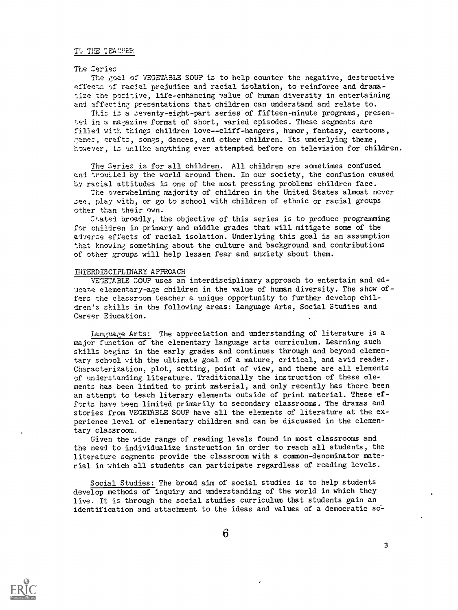## TO THE TEACHER

## The Series

The goal of VEGETABLE SOUP is to help counter the negative, destructive effects bf racial prejudice and racial isolation, to reinforce and dramatize the positive, life-enhancing value of human diversity in entertaining and affecting presentations that children can understand and relate to.

This is a seventy-eight-part series of fifteen-minute programs, presented in a ma7azine format of short, varied episodes. These segments are filled with things children love--cliff-hangers, humor, fantasy, cartoons, games, crafts, songs, dances, and other children. Its underlying theme, however, is unlike anything ever attempted before on television for children.

The Series is for all children. All children are sometimes confused and troutlel by the world around them. In our society, the confusion caused by racial attitudes is one of the most pressing problems children face.

The overwhelming majority of children in the United States almost never see, play with, or go to school with children of ethnic or racial groups other than their own.

Ztated broadly, the objective of this series is to produce programming for children in primary and middle grades that will mitigate some of the adverse effects of racial isolation. Underlying this goal is an assumption that knowing something about the culture and background and contributions of other groups will help lessen fear and anxiety about them.

## INTERDISCIPLINARY APPROACH

VE1ETABLE SOU? uses an interdisciplinary approach to entertain and educate elementary-age children in the value of human diversity. The show offers the classroom teacher a uniaue opportunity to further develop children's skills in the following areas: Language Arts, Social Studies and Career Education.

Language Arts: The appreciation and understanding of literature is a major function of the elementary language arts curriculum. Learning such skills begins in the early grades and continues through and beyond elementary school with the ultimate goal of a mature, critical, and avid reader. Characterization, plot, setting, point of view, and theme are all elements of understanding literature. Traditionally the instruction of these elements has been limited to print material, and only recently has there been an attempt to teach literary elements outside of print material. These efforts have been limited primarily to secondary classrooms. The dramas and stories from VEGETABLE SOUP have all the elements of literature at the experience level of elementary children and can be discussed in the elementary classroom.

Given the wide range of reading levels found in most classrooms and the need to individualize instruction in order to reach all students, the literature segments provide the classroom with a common-denominator material in which all students can participate regardless of reading levels.

Social Studies: The broad aim of social studies is to help students develop methods of inquiry and understanding of the world in which they live. It is through the social studies curriculum that students gain an identification and attachment to the ideas and values of a democratic so-

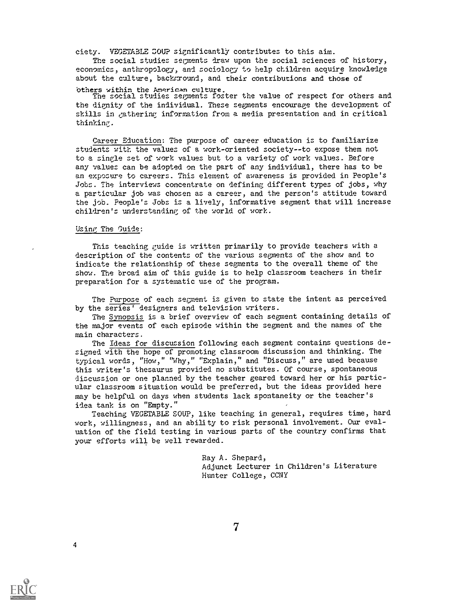ciety. VEGETABLE SOUP significantly contributes to this aim.

The social studies segments draw upon the social sciences of history, economics, anthropology, and sociology to help children acquire knowledge about the culture, background, and their contributions and those of

Others within the American culture. The social studies segments foster the value of respect for others and the dignity of the individual. These segments encourage the development of skills in gathering information from a media presentation and in critical thinking.

Career Education: The Purpose of career education is to familiarize students with the values of a work-oriented society--to expose them not to a single set of work values but to a variety of work values. Before any values can be adopted on the part of any individual, there has to be an exposure to careers. This element of awareness is provided in People's Jobs. The interviews concentrate on defining different types of jobs, why a particular job was chosen as a career, and the person's attitude toward the job. People's Jobs is a lively, informative segment that will increase children's understanding of the world of work.

## Using The Guide:

This teaching guide is written primarily to provide teachers with a description of the contents of the various segments of the show and to indicate the relationship of these segments to the overall theme of the show. The broad aim of this guide is to help classroom teachers in their preparation for a systematic use of the program.

The Purpose of each segment is given to state the intent as perceived by the series' designers and television writers.

The Synopsis is a brief overview of each segment containing details of the major events of each episode within the segment and the names of the main characters.

The Ideas for discussion following each segment contains questions designed with the hope of promoting classroom discussion and thinking. The typical words, "How," "Why," "Explain," and "Discuss," are used because this writer's thesaurus provided no substitutes. Of course, spontaneous discussion or one planned by the teacher geared toward her or his particular classroom situation would be preferred, but the ideas provided here may be helpful on days when students lack spontaneity or the teacher's idea tank is on "Empty."

Teaching VEGETABLE SOUP, like teaching in general, requires time, hard work, willingness, and an ability to risk personal involvement. Our evaluation of the field testing in various parts of the country confirms that your efforts will be well rewarded.

> Ray A. Shepard, Adjunct Lecturer in Children's Literature Hunter College, CCNY

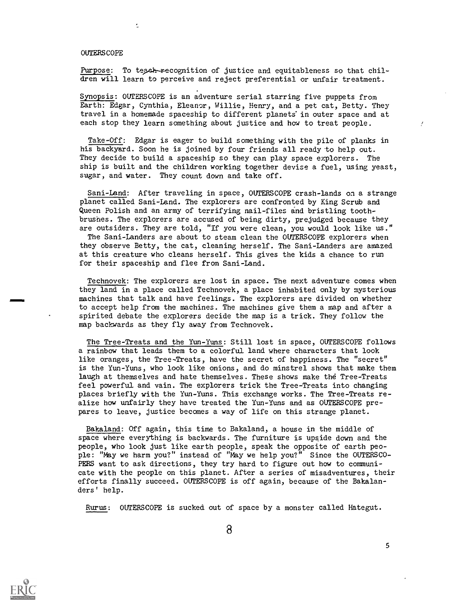## OUTERSCOPE

 $\overline{\mathbb{Z}}$ 

Purpose: To tessk-recognition of justice and equitableness so that children will learn to perceive and reject preferential or unfair treatment.

Synopsis: OUTERSCOPE is an adventure serial starring five puppets from Earth: Edgar, Cynthia, Eleanor, Willie, Henry, and a pet cat, Betty. They travel in a homemade spaceship to different planets' in outer space and at each stop they learn something about justice and how to treat people.

Take-Off: Edgar is eager to build something with the pile of planks in his backyard. Soon he is joined by four friends all ready-to help out. They decide to build a spaceship so they can play space explorers. The ship is built and the children working together devise a fuel, using yeast, sugar, and water. They count down and take off.

Sani-Land: After traveling in space, OUTERSCOPE crash-lands on a strange planet called Sani-Land. The explorers are confronted by King Scrub and Queen Polish and an army of terrifying nail-files and bristling toothbrushes. The explorers are accused of being dirty, prejudged because they are outsiders. They are told, "If you were clean, you would look like us."

The Sani-Landers are about to steam clean the OUTERSCOPE explorers when they observe Betty, the cat, cleaning herself. The Sani-Landers are amazed at this creature who cleans herself. This gives the kids a chance to run for their spaceship and flee from Sani-Land.

Technovek: The explorers are lost in space. The next adventure comes when they land in a place called Technovek, a place inhabited only by mysterious machines that talk and have feelings. The explorers are divided on whether to accept help from the machines. The machines give them a map and after a spirited debate the explorers decide the map is a trick. They follow the map backwards as they fly away from Technovek.

The Tree-Treats and the Yun-Yuns: Still lost in space, OUTERSCOPE follows a rainbow that leads them to a colorful land where characters that look like oranges, the Tree-Treats, have the secret of happiness. The "secret" is the Yun-Yuns, who look like onions, and do minstrel shows that make them laugh at themselves and hate themselves. These shows make the Tree-Treats feel powerful and vain. The explorers trick the Tree-Treats into changing places briefly with the Yun-Yuns. This exchange works. The Tree-Treats realize how unfairly they have treated the Yun-Yuns and as OUTERSCOPE prepares to leave, justice becomes a way of life on this strange planet.

Bakaland: Off again, this time to Bakaland, a house in the middle of space where everything is backwards. The furniture is upside down and the people, who look just like earth people, speak the opposite of earth people: "May we harm you?" instead of "May we help you?" Since the OUTERSCO-PERS want to ask directions, they try hard to figure out how to communicate with the people on this planet. After a series of misadventures, their efforts finally succeed. OUTERSCOPE is off again, because of the Bakalanders' help.

Rurus: OUTERSCOPE is sucked out of space by a monster called Hategut.



Ź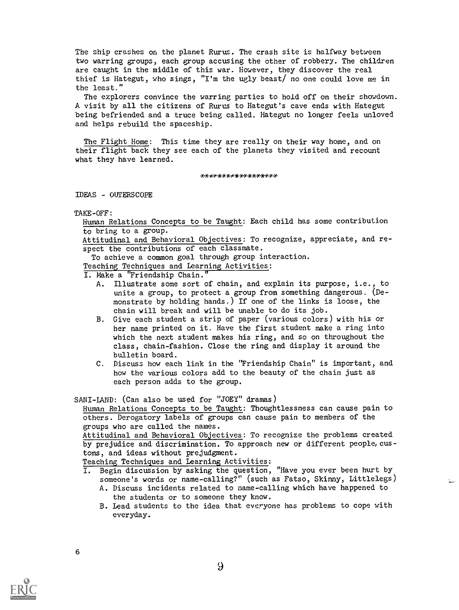The ship crashes on the planet Rurus. The crash site is halfway between two warring groups, each group accusing the other of robbery. The children are caught in the middle of this war. However, they discover the real thief is Hategut, who sings, "I'm the ugly beast/ no one could love me in the least."

The explorers convince the warring parties to hold off on their showdown. A visit by all the citizens of Rums to Hategut's cave ends with Hategut being befriended and a truce being called. Hategut no longer feels unloved and helps rebuild the spaceship.

The Flight Home: This time they are really on their way home, and on their flight back they see each of the planets they visited and recount what they have learned.

\*\*\*\*\*\*\*\*\*\*\*\*\*\*\*\*\*

IDEAS - OUTERSCOPE

Human Relations Concepts to be Taught: Each child has some contribution to bring to a group.

Attitudinal and Behavioral Objectives: To recognize, appreciate, and respect the contributions of each classmate.

To achieve a common goal through group interaction.

Teaching Techniques and Learning Activities:

- I. Make a "Friendship Chain."
	- A. Illustrate some sort of chain, and explain its purpose, i.e., to unite a group, to protect a group from something dangerous. (Demonstrate by holding hands.) If one of the links is loose, the chain will break and will be unable to do its job.
	- B. Give each student a strip of paper (various colors) with his or her name printed on it. Have the first student make a ring into which the next student makes his ring, and so on throughout the class, chain-fashion. Close the ring and display it around the bulletin board.
	- C. Discuss how each link in the "Friendship Chain" is important, and how the various colors add to the beauty of the chain just as each person adds to the group.

SARI-LAND: (Can also be used for "JOEY" dramas)

Human Relations Concepts to be Taught: Thoughtlessness can cause pain to others. Derogatory labels of groups can cause pain to members of the groups who are called the names.

Attitudinal and Behavioral Objectives: To recognize the problems created by prejudice and discrimination. To approach new or different people, customs, and ideas without prejudgment.

Teaching Techniques and Learning Activities:

- I. Begin discussion by asking the question, "Have you ever been hurt by someone's words or name-calling?" (such as Fatso, Skinny, Littlelegs)
	- A. Discuss incidents related to name-calling which have happened to the students or to someone they know.
	- B. Lead students to the idea that everyone has problems to cope with everyday.

TAKE-OFF: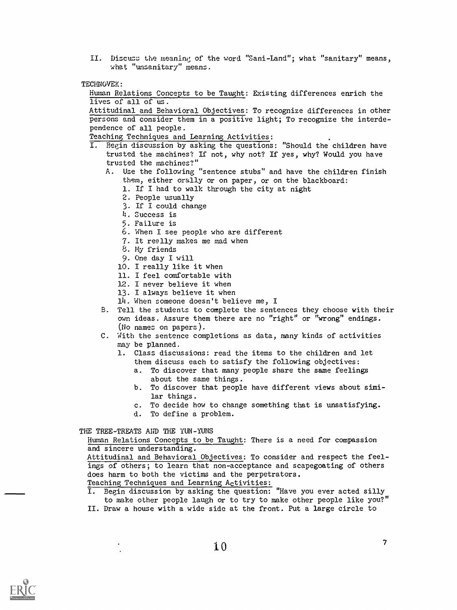- II. Discuss the meaning of the word "Sani-Land"; what "sanitary" means, what "unsanitary" means.
- TECHNOVEK:

Human Relations Concepts to be Taught: Existing differences enrich the lives of all of us.

Attitudinal and Behavioral Objectives: To recognize differences in other persons and consider them in a positive light; To recognize the interdependence of all people.

- Teaching Techniques and Learning Activities:
- I. Begin discussion by asking the questions: "Should the children have trusted the machines? If not, why not? If yes, why? Would you have trusted the machines?"
	- A. Use the following "sentence stubs" and have the children finish them, either orally or on paper, or on the blackboard:
		- 1. If I had to walk through the city at night
		- 2. People usually
		- 3. If I could change
		- 4. Success is
		- 5. Failure is
		- 6. When I see people who are different
		- 7. It really makes me mad when
		- 8. My friends
		- 9. One day I will
		- 10. I really like it when
		- 11. I feel comfortable with
		- 12. I never believe it when
		- 13. I always believe it when
		- 14. When someone doesn't believe me, I
	- B. Tell the students to complete the sentences they choose with their own ideas. Assure them there are no "right" or "wrong" endings. (No names on papers).
	- C. With the sentence completions as data, many kinds of activities may be planned.
		- 1. Class discussions: read the items to the children and let them discuss each to satisfy the following objectives:
			- a. To discover that many people share the same feelings about the same things.
			- b. To discover that people have different views about similar things.
			- c. To decide how to change something that is unsatisfying.
		- d. To define a problem.

THE TREE-TREATS AND THE YUN-YUNS

Human Relations Concepts to be Taught: There is a need for compassion and sincere understanding.

Attitudinal and Behavioral Objectives: To consider and respect the feelings of others; to learn that non-acceptance and scapegoating of others does harm to both the victims and the perpetrators.

Teaching Techniques and Learning Activities:

I. Begin discussion by asking the question: "Have you ever acted silly to make other people laugh or to try to make other people like you?" II. Draw a house with a wide side at the front. Put a large circle to



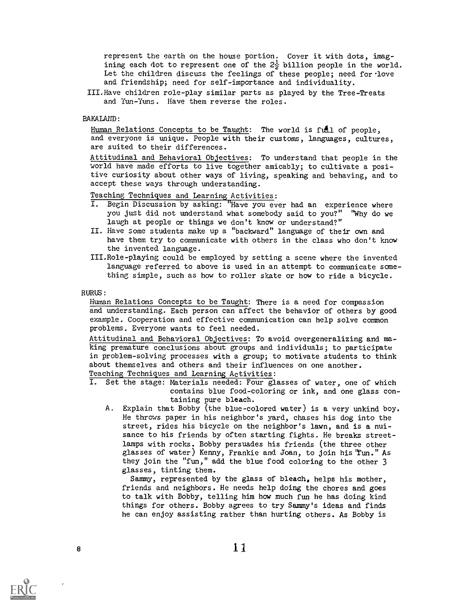represent the earth on the house portion. Cover it with dots, imagining each dot to represent one of the  $2\frac{1}{2}$  billion people in the world. Let the children discuss the feelings of these people; need for love and friendship; need for self-importance and individuality.

III.Have children role-play similar parts as played by the Tree-Treats and Yun-Yuns. Have them reverse the roles.

## BAKALAND:

Human Relations Concepts to be Taught: The world is full of people, and everyone is unique. People with their customs, languages, cultures, are suited to their differences.

Attitudinal and Behavioral Objectives: To understand that people in the world have made efforts to live together amicably; to cultivate a positive curiosity about other ways of living, speaking and behaving, and to accept these ways through understanding.

## Teaching Techniques and Learning Activities:<br>I. Begin Discussion by asking: "Have you ev

- Begin Discussion by asking: "Have you ever had an experience where you just did not understand what somebody said to you?" "Why do we laugh at people or things we don't know or understand?"
- II. Have some students make up a "backward" language of their own and have them try to communicate with others in the class who don't know the invented language.
- III.Role-playing could be employed by setting a scene where the invented language referred to above is used in an attempt to communicate something simple, such as how to roller skate or how to ride a bicycle.

## RURUS:

Human Relations Concepts to be Taught: There is a need for compassion and understanding. Each person can affect the behavior of others by good example. Cooperation and effective communication can help solve common problems. Everyone wants to feel needed.

Attitudinal and Behavioral Objectives: To avoid overgeneralizing and making premature conclusions about groups and individuals; to participate in problem-solving processes with a group; to motivate students to think about themselves and others and their influences on one another. Teaching Techniques and Learning Activities:

- I. Set the stage: Materials needed: Four glasses of water, one of which contains blue food-coloring or ink, and one glass containing pure bleach.
	- A. Explain that Bobby (the blue-colored water) is a very unkind boy. He throws paper in his neighbor's yard, chases his dog into the street, rides his bicycle on the neighbor's lawn, and is a nuisance to his friends by often starting fights. He breaks streetlamps with rocks. Bobby persuades his friends (the three other glasses of water) Kenny, Frankie and Joan, to join his "fun." As they join the "fun," add the blue food coloring to the other 3 glasses, tinting them.

Sammy, represented by the glass of bleach, helps his mother, friends and neighbors. He needs help doing the chores and goes to talk with Bobby, telling him how much fun he has doing kind things for others. Bobby agrees to try Sammy's ideas and finds he can enjoy assisting rather than hurting others. As Bobby is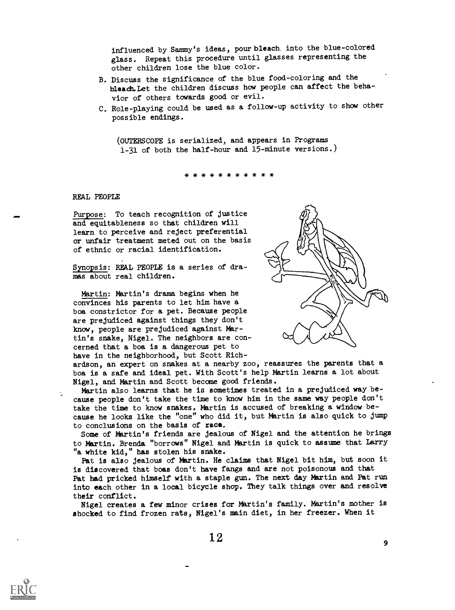influenced by Sammy's ideas, pour bleach. into the blue-colored glass. Repeat this procedure until glasses representing the other children lose the blue color.

- B. Discuss the significance of the blue food-coloring and the bleach.let the children discuss how people can affect the behavior of others towards good or evil.
- C. Role-playing could be used as a follow-up activity to show other possible endings.

(OUTERSCOPE is serialized, and appears in Programs 1-31 of both the half-hour and 15-minute versions.)

\* \* \* \* \* \* \* \* \* \* \*

## REAL PEOPLE

Purpose: To teach recognition of justice and equitableness so that children will learn to perceive and reject preferential or unfair treatment meted out on the basis of ethnic or racial identification.

Synopsis: REAL PEOPLE is a series of dramas about real children.

Martin: Martin's drama begins when he convinces his parents to let him have a boa constrictor for a pet. Because people are prejudiced against things they don't know, people are prejudiced against Martin's snake, Nigel. The neighbors are concerned that a boa is a dangerous pet to have in the neighborhood, but Scott Rich-



ardson, an expert on snakes at a nearby zoo, reassures the parents that a boa is a safe and ideal pet. With Scott's help Martin learns a lot about Nigel, and Martin and Scott become good friends.

Martin also learns that he is sometimes treated in a prejudiced way because people don't take the time to know him in the same way people don't take the time to know snakes. Martin is accused of breaking a window because he looks like the "one" who did it, but Martin is also quick to jump to conclusions on the basis of race.

Some of Martin's friends are jealous of Nigel and the attention he brings to Martin. Brenda "borrows" Nigel and Martin is quick to assume that Larry "a white kid," has stolen his snake.

Pat is also jealous of Martin. He claims that Nigel bit him, but soon it is discovered that boas don't have fangs and are not poisonous and that Pat had pricked himself with a staple gun. The next day Martin and Pat run into each other in a local bicycle shop. They talk things over and resolve their conflict.

Nigel creates a few minor crises for Martin's family. Martin's mother is shocked to find frozen rats, Nigel's main diet, in her freezer. When it

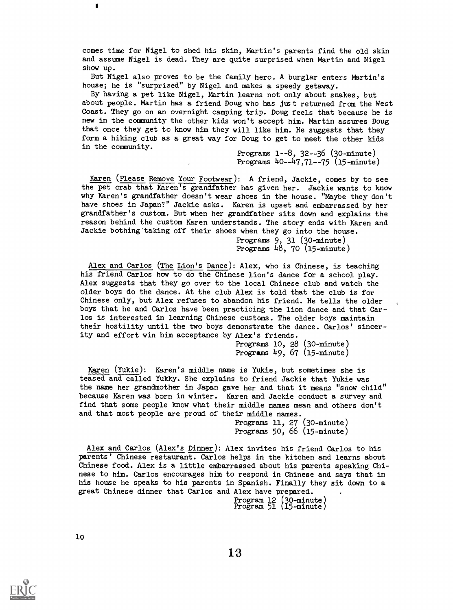comes time for Nigel to shed his skin, Martin's parents find the old skin and assume Nigel is dead. They are quite surprised when Martin and Nigel show up.

But Nigel also proves to be the family hero. A burglar enters Martin's house; he is "surprised" by Nigel and makes a speedy getaway.

By having a pet like Nigel, Martin learns not only about snakes, but about people. Martin has a friend Doug who has just returned from the West Coast. They go on an overnight camping trip. Doug feels that because he is new in the community the other kids won't accept him. Martin assures Doug that once they get to know him they will like him. He suggests that they form a hiking club as a great way for Doug to get to meet the other kids in the community.

Programs 1--8, 32 - -36 (30-minute) Programs 40-47,71-75 (15-minute)

Karen (Please Remove Your Footwear): A friend, Jackie, comes by to see the pet crab that Karen's grandfather has given her. Jackie wants to know why Karen's grandfather doesn't wear shoes in the house. "Maybe they don't have shoes in Japan?" Jackie asks. Karen is upset and embarrassed by her grandfather's custom. But when her grandfather sits down and explains the reason behind the custom Karen understands. The story ends with Karen and Jackie bothing taking off their shoes when they go into the house.

> Programs 9, 31 (30-minute) Programs 48, 70 (15-minute)

Alex and Carlos (The Lion's Dance): Alex, who is Chinese, is teaching his friend Carlos how to do the Chinese lion's dance for a school play. Alex suggests that they go over to the local Chinese club and watch the older boys do the dance. At the club Alex is told that the club is for Chinese only, but Alex refuses to abandon his friend. He tells the older boys that he and Carlos have been practicing the lion dance and that Carlos is interested in learning Chinese customs. The older boys maintain their hostility until the two boys demonstrate the dance. Carlos' sincerity and effort win him acceptance by Alex's friends.

> Programs 10, 28 (30-minute) Programs 49, 67 (15-minute)

Karen (Yukie): Karen's middle name is Yukie, but sometimes she is teased and called Yukky. She explains to friend Jackie that Yukie was the name her grandmother in Japan gave her and that it means "snow child" because Karen was born in winter. Karen and Jackie conduct a survey and find that some people know what their middle names mean and others don't and that most people are proud of their middle names.

> Programs 11, 27 (30-minute) Programs 50, 66 (15-minute)

Alex and Carlos (Alex's Dinner): Alex invites his friend Carlos to his parents' Chinese restaurant. Carlos helps in the kitchen and learns about Chinese food. Alex is a little embarrassed about his parents speaking Chinese to him. Carlos encourages him to respond in Chinese and says that in his house he speaks to his parents in Spanish. Finally they sit down to a great Chinese dinner that Carlos and Alex have prepared.

Program 12 (30-minute) Program 51 (15-minute)

I.

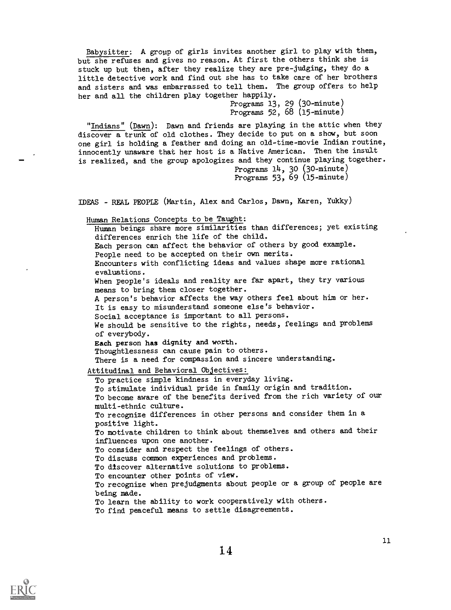Babysitter: A group of girls invites another girl to play with them, but she refuses and gives no reason. At first the others think she is stuck up but then, after they realize they are pre-judging, they do a little detective work and find out she has to take care of her brothers and sisters and was embarrassed to tell them. The group offers to help her and all the children play together happily.

Programs 13, 29 (30-minute) Programs 52, 68 (15-minute)

"Indians" (Dawn): Dawn and friends are playing in the attic when they discover a trunk of old clothes. They decide to put on a show, but soon one girl is holding a feather and doing an old-time-movie Indian routine, innocently unaware that her host is a Native American. Then the insult is realized, and the group apologizes and they continue playing together. Programs  $14$ ,  $30$  (30-minute)

Programs 53, 69 (15-minute)

IDEAS - REAL PEOPLE (Martin, Alex and Carlos, Dawn, Karen, Yukky)

Human Relations Concepts to be Taught:

Human beings share more similarities than differences; yet existing differences enrich the life of the child. Each person can affect the behavior of others by good example. People need to be accepted on their own merits. Encounters with conflicting ideas and values shape more rational evaluations. When people's ideals and reality are far apart, they try various means to bring them closer together. A person's behavior affects the way others feel about him or her. It is easy to misunderstand someone else's behavior. Social acceptance is important to all persons. We should be sensitive to the rights, needs, feelings and problems of everybody. Each person has dignity and worth. Thoughtlessness can cause pain to others. There is a need for compassion and sincere understanding. Attitudinal and Behavioral Objectives: To practice simple kindness in everyday living. To stimulate individual pride in family origin and tradition. To become aware of the benefits derived from the rich variety of our multi-ethnic culture. To recognize differences in other persons and consider them in a positive light. To motivate children to think about themselves and others and their

influences upon one another. To consider and respect the feelings of others.

To discuss common experiences and problems.

To discover alternative solutions to problems.

To encounter other points of view.

To recognize when prejudgments about people or a group of people are being made.

To learn the ability to work cooperatively with others.

To find peaceful means to settle disagreements.

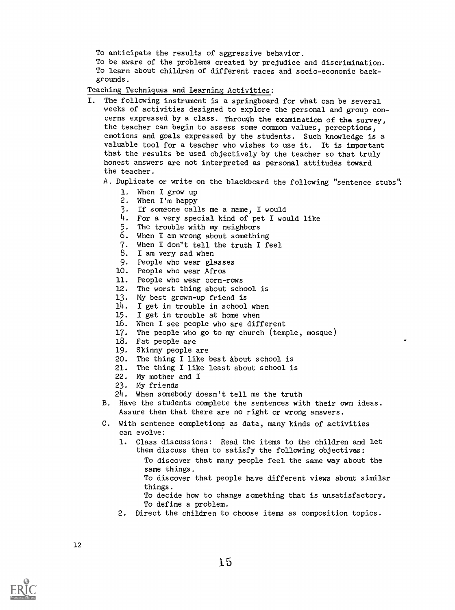To anticipate the results of aggressive behavior.

To be aware of the problems created by prejudice and discrimination. To learn about children of different races and socio-economic backgrounds.

Teaching Techniques and Learning Activities:

- I. The following instrument is a springboard for what can be several weeks of activities designed to explore the personal and group concerns expressed by a class. Through the examination of the survey, the teacher can begin to assess some common values, perceptions, emotions and goals expressed by the students. Such knowledge is a valuable tool for a teacher who wishes to use it. It is important that the results be used objectively by the teacher so that truly honest answers are not interpreted as personal attitudes toward the teacher.
	- A. Duplicate or write on the blackboard the following "sentence stubs":
		- 1. When I grow up
		- 2. When I'm happy
		- 3. If someone calls me a name, I would
		- 4. For a very special kind of pet I would like
		- 5. The trouble with my neighbors
		- 6. When I am wrong about something
		- 7. When I don"t tell the truth I feel
		- 8. I am very sad when
		- 9. People who wear glasses
		- 10. People who wear Afros
		- 11. People who wear corn-rows
		- 12. The worst thing about school is
		- 13. My best grown-up friend is
		- 14. I get in trouble in school when
		- 15. I get in trouble at home when
		- 16. When I see people who are different
		- 17. The people who go to my church (temple, mosque)
		- 18. Fat people are
		- 19. Skinny people are
		- 20. The thing I like best about school is
		- 21. The thing I like least about school is
		- 22. My mother and I
		- 23. My friends
		- 24. When somebody doesn't tell me the truth
	- B. Have the students complete the sentences with their own ideas. Assure them that there are no right or wrong answers.
	- C. With sentence completions as data, many kinds of activities can evolve:
		- 1. Class discussions: Read the items to the children and let them discuss them to satisfy the following objectives:
			- To discover that many people feel the same way about the same things.
				- To discover that people have different views about similar things.
			- To decide how to change something that is unsatisfactory. To define a problem.
		- 2. Direct the children to choose items as composition topics.

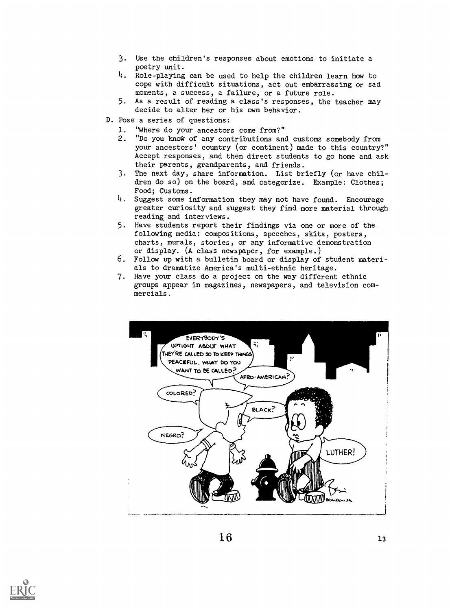- 3. Use the children's responses about emotions to initiate a poetry unit.
- 4. Role-playing can be used to help the children learn how to cope with difficult situations, act out embarrassing or sad moments, a success, a failure, or a future role.
- 5. As a result of reading a class's responses, the teacher may decide to alter her or his own behavior.
- D. Pose a series of questions:
	- 1. "Where do your ancestors come from?"<br>2. "Do you know of any contributions and
	- "Do you know of any contributions and customs somebody from your ancestors' country (or continent) made to this country?" Accept responses, and then direct students to go home and ask their parents, grandparents, and friends.
	- 3. The next day, share information. List briefly (or have children do so) on the board, and categorize. Example: Clothes; Food; Customs.
	- 4. Suggest some information they may not have found. Encourage greater curiosity and suggest they find more material through reading and interviews.
	- 5. Have students report their findings via one or more of the following media: compositions, speeches, skits, posters, charts, murals, stories, or any informative demonstration or display. (A class newspaper, for example.)
	- 6. Follow up with a bulletin board or display of student materials to dramatize America's multi-ethnic heritage.
	- 7. Have your class do a project on the way different ethnic groups appear in magazines, newspapers, and television commercials.



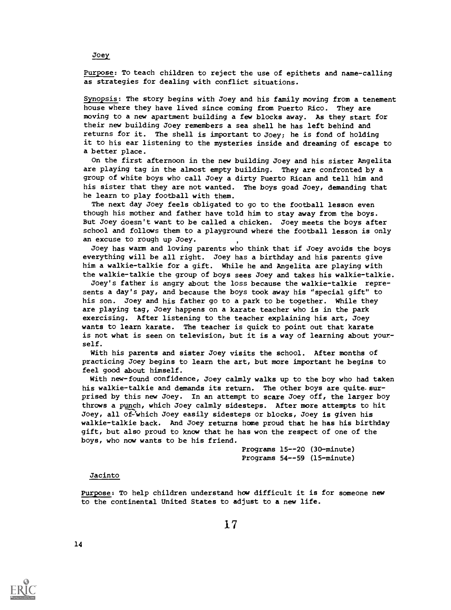Purpose: To teach children to reject the use of epithets and name-calling as strategies for dealing with conflict situations.

Synopsis: The story begins with Joey and his family moving from a tenement house where they have lived since coming from Puerto Rico. They are moving to a new apartment building a few blocks away. As they start for their new building Joey remembers a sea shell he has left behind and returns for it. The shell is important to Joey; he is fond of holding it to his ear listening to the mysteries inside and dreaming of escape to a better place.

On the first afternoon in the new building Joey and his sister Angelita are playing tag in the almost empty building. They are confronted by a group of white boys who call Joey a dirty Puerto Rican and tell him and his sister that they are not wanted. The boys goad Joey, demanding that he learn to play football with them.

The next day Joey feels obligated to go to the football lesson even though his mother and father have told him to stay away from the boys. But Joey doesn't want to be called a chicken. Joey meets the boys after school and follows them to a playground where the football lesson is only an excuse to rough up Joey.

Joey has warm and loving parents who think that if Joey avoids the boys everything will be all right. Joey has a birthday and his parents give him a walkie-talkie for a gift. While he and Angelita are playing with the walkie-talkie the group of boys sees Joey and takes his walkie-talkie.

Joey's father is angry about the loss because the walkie-talkie represents a day's pay, and because the boys took away his "special gift" to his son. Joey and his father go to a park to be together. While they are playing tag, Joey happens on a karate teacher who is in the park exercising. After listening to the teacher explaining his art, Joey wants to learn karate. The teacher is quick to point out that karate is not what is seen on television, but it is a way of learning about yourself.

With his parents and sister Joey visits the school. After months of practicing Joey begins to learn the art, but more important he begins to feel good about himself.

With new-found confidence, Joey calmly walks up to the boy who had taken his walkie-talkie and demands its return. The other boys are quite surprised by this new Joey. In an attempt to scare Joey off, the larger boy throws a punch, which Joey calmly sidesteps. After more attempts to hit Joey, all of-Which Joey easily sidesteps or blocks, Joey is given his walkie-talkie back. And Joey returns home proud that he has his birthday gift, but also proud to know that he has won the respect of one of the boys, who now wants to be his friend.

> Programs 15--20 (30-minute) Programs 54--59 (15-minute)

## Jacinto

14

Purpose: To help children understand how difficult it is for someone new to the continental United States to adjust to a new life.

**Joey** 

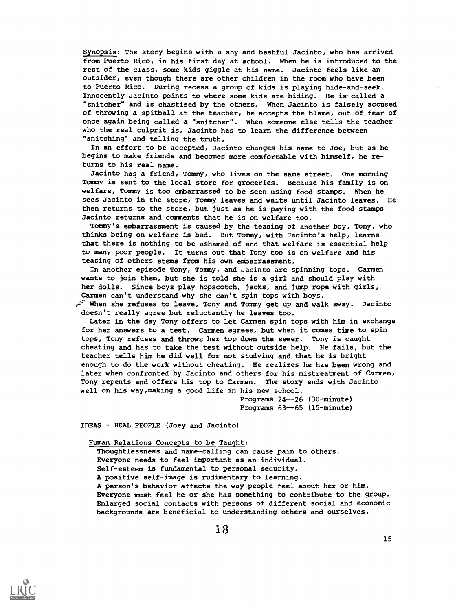Synopsis: The story begins with a shy and bashful Jacinto, who has arrived from Puerto Rico, in his first day at school. When he is introduced to the rest of the class, some kids giggle at his name. Jacinto feels like an outsider, even though there are other children in the room who have been to Puerto Rico. During recess a group of kids is playing hide-and-seek. Innocently Jacinto points to where some kids are hiding. He is called a "snitcher" and is chastized by the others. When Jacinto is falsely accused of throwing a spitball at the teacher, he accepts the blame, out of fear of once again being called a "snitcher". When someone else tells the teacher who the real culprit is, Jacinto has to learn the difference between "snitching" and telling the truth.

In an effort to be accepted, Jacinto changes his name to Joe, but as he begins to make friends and becomes more comfortable with himself, he returns to his real name.

Jacinto has a friend, Tommy, who lives on the same street. One morning Tommy is sent to the local store for groceries. Because his family is on welfare, Tommy is too embarrassed to be seen using food stamps. When he sees Jacinto in the store, Tommy leaves and waits until Jacinto leaves. He then returns to the store, but just as he is paying with the food stamps Jacinto returns and comments that he is on welfare too.

Tommy's embarrassment is caused by the teasing of another boy, Tony, who thinks being on welfare is bad. But Tommy, with Jacinto's help, learns that there is nothing to be ashamed of and that welfare is essential help to many poor people. It turns out that Tony too is on welfare and his teasing of others stems from his own embarrassment.

In another episode Tony, Tommy, and Jacinto are spinning tops. Carmen wants to join them, but she is told she is a girl and should play with her dolls. Since boys play hopscotch, jacks, and jump rope with girls, Carmen can't understand why she can't spin tops with boys.

When she refuses to leave, Tony and Tommy get up and walk away. Jacinto doesn't really agree but reluctantly he leaves too.

Later in the day Tony offers to let Carmen spin tops with him in exchange for her answers to a test. Carmen agrees, but when it comes time to spin tops, Tony refuses and throws her top down the sewer. Tony is caught cheating and has to take the test without outside help. He fails, but the teacher tells him he did well for not studying and that he is bright enough to do the work without cheating. He realizes he has been wrong and later when confronted by Jacinto and others for his mistreatment of Carmen, Tony repents and offers his top to Carmen. The story ends with Jacinto well on his way, making a good life in his new school.

> Programs 24--26 (30-minute) Programs 63--65 (15-minute)

IDEAS - REAL PEOPLE (Joey and Jacinto)

Human Relations Concepts to be Taught:

Thoughtlessness and name-calling can cause pain to others. Everyone needs to feel important as an individual. Self-esteem is fundamental to personal security. A positive self-image is rudimentary to learning. A person's behavior affects the way people feel about her or him. Everyone must feel he or she has something to contribute to the group. Enlarged social contacts with persons of different social and economic backgrounds are beneficial to understanding others and ourselves.

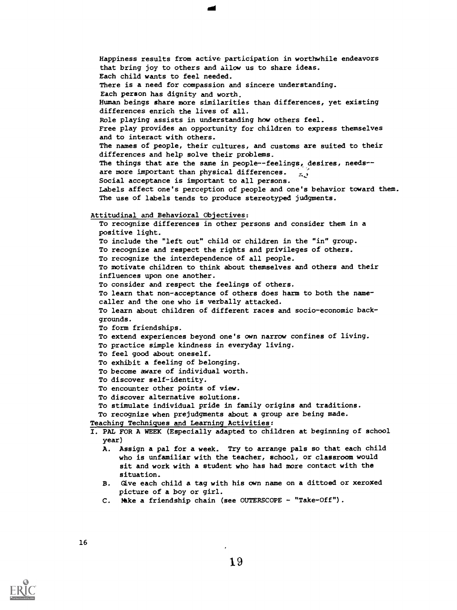Happiness results from active participation in worthwhile endeavors that bring joy to others and allow us to share ideas. Each child wants to feel needed. There is a need for compassion and sincere understanding. Each person has dignity and worth. Human beings share more similarities than differences, yet existing differences enrich the lives of all. Role playing assists in understanding how others feel. Free play provides an opportunity for children to express themselves and to interact with others. The names of people, their cultures, and customs are suited to their differences and help solve their problems. The things that are the same in people--feelings, desires, needs-are more important than physical differences.  $\frac{1}{2}$ Social acceptance is important to all persons. Labels affect one's perception of people and one's behavior toward them. The use of labels tends to produce stereotyped judgments. Attitudinal and Behavioral Objectives: To recognize differences in other persons and consider them in a

positive light. To include the "left out" child or children in the "in" group. To recognize and respect the rights and privileges of others. To recognize the interdependence of all people. To motivate children to think about themselves and others and their influences upon one another. To consider and respect the feelings of others. To learn that non-acceptance of others does harm to both the namecaller and the one who is verbally attacked. To learn about children of different races and socio-economic backgrounds. To form friendships. To extend experiences beyond one's own narrow confines of living. To practice simple kindness in everyday living. To feel good about oneself. To exhibit a feeling of belonging. To become aware of individual worth. To discover self-identity. To encounter other points of view. To discover alternative solutions. To stimulate individual pride in family origins and traditions. To recognize when prejudgments about a group are being made. Teaching Techniques and Learning Activities:

I. PAL FOR A WEEK (Especially adapted to children at beginning of school year)

- A. Assign a pal for a week. Try to arrange pals so that each child who is unfamiliar with the teacher, school, or classroom would sit and work with a student who has had more contact with the situation.
- B. Give each child a tag with his own name on a dittoed or xeroxed picture of a boy or girl.
- C. Make a friendship chain (see OUTERSCOPE "Take-Off").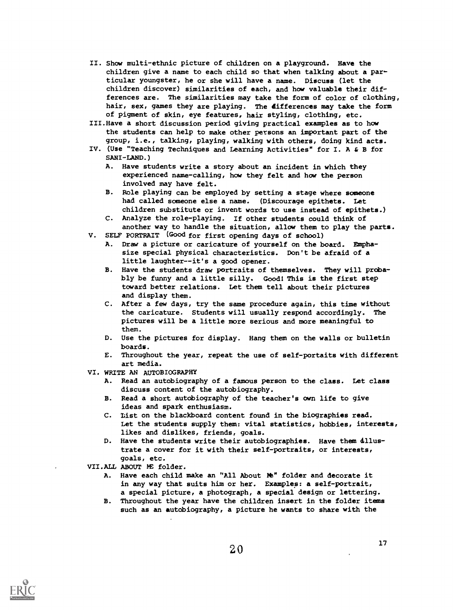- II. Show multi-ethnic picture of children on a playground. Have the children give a name to each child so that when talking about a particular youngster, he or she will have a name. Discuss (let the children discover) similarities of each, and how valuable their differences are. The similarities may take the form of color of clothing, hair, sex, games they are playing. The differences may take the form of pigment of skin, eye features, hair styling, clothing, etc.
- III.Have a short discussion period giving practical examples as to how the students can help to make other persons an important part of the group, i.e., talking, playing, walking with others, doing kind acts.
- IV. (Use "Teaching Techniques and Learning Activities" for I. A & B for SANI-LAND.)
	- A. Have students write a story about an incident in which they experienced name-calling, how they felt and how the person involved may have felt.
	- B. Role playing can be employed by setting a stage where someone had called someone else a name. (Discourage epithets. Let children substitute or invent words to use instead of epithets.)
	- C. Analyze the role-playing. If other students could think of another way to handle the situation, allow them to play the parts.
- V. SELF PORTRAIT (Good for first opening days of school)
	- A. Draw a picture or caricature of yourself on the board. Emphasize special physical characteristics. Don't be afraid of a little laughter--it's a good opener.
	- B. Have the students draw portraits of themselves. They will probably be funny and a little silly. Good! This is the first step toward better relations. Let them tell about their pictures and display them.
	- C. After a few days, try the same procedure again, this time without the caricature. Students will usually respond accordingly. The pictures will be a little more serious and more meaningful to them.
	- D. Use the pictures for display. Hang them on the walls or bulletin boards.
	- E. Throughout the year, repeat the use of self-portaits with different art media.
- VI. WRITE AN AUTOBIOGRAPHY
	- A. Read an autobiography of a famous person to the class. Let class discuss content of the autobiography.
	- B. Read a short autobiography of the teacher's own life to give ideas and spark enthusiasm.
	- C. list on the blackboard content found in the biographies read. Let the students supply them: vital statistics, hobbies, interests, likes and dislikes, friends, goals.
	- D. Have the students write their autobiographies. Have them dllustrate a cover for it with their self-portraits, or interests, goals, etc.
- VII.ALL ABOUT ME folder.
	- A. Have each child make an "All About Me" folder and decorate it in any way that suits him or her. Examples: a self-portrait, a special picture, a photograph, a special design or lettering.
	- B. Throughout the year have the children insert in the folder items such as an autobiography, a picture he wants to share with the

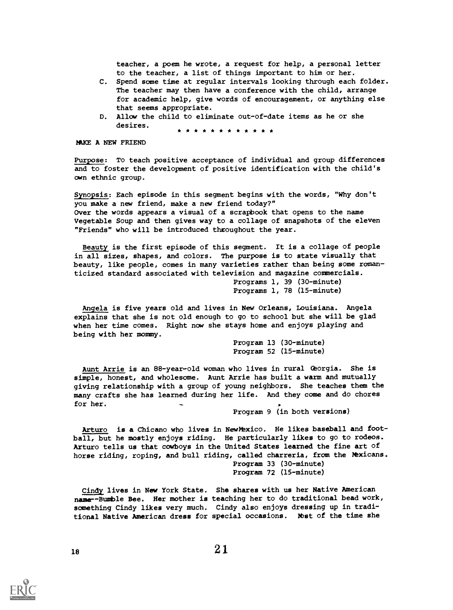teacher, a poem he wrote, a request for help, a personal letter to the teacher, a list of things important to him or her.

- C. Spend some time at regular intervals looking through each folder. The teacher may then have a conference with the child, arrange for academic help, give words of encouragement, or anything else that seems appropriate.
- D. Allow the child to eliminate out-of-date items as he or she desires. \* \* \* \* \* \* \* \* \* \* \* \*

HAKE A NEW FRIEND

Purpose: To teach positive acceptance of individual and group differences and to foster the development of positive identification with the child's own ethnic group.

Synopsis: Each episode in this segment begins with the words, "Why don't you make a new friend, make a new friend today?" Over the words appears a visual of a scrapbook that opens to the name Vegetable Soup and then gives way to a collage of snapshots of the eleven "Friends" who will be introduced throughout the year.

Beauty is the first episode of this segment. It is a collage of people in all sizes, shapes, and colors. The purpose is to state visually that beauty, like people, comes in many varieties rather than being some romanticized standard associated with television and magazine commercials.

Programs 1, 39 (30-minute) Programs 1, 78 (15-minute)

Angela is five years old and lives in New Orleans, Louisiana. Angela explains that she is not old enough to go to school but she will be glad when her time comes. Right now she stays home and enjoys playing and being with her mommy.

> Program 13 (30-minute) Program 52 (15-minute)

Aunt Arrie is an 88-year-old woman who lives in rural Georgia. She is simple, honest, and wholesome. Aunt Arrie has built a warm and mutually giving relationship with a group of young neighbors. She teaches them the many crafts she has learned during her life. And they come and do chores for her.

Program 9 (in both versions)

Arturo is a Chicano who lives in NewMexico. He likes baseball and football, but he mostly enjoys riding. He particularly likes to go to rodeos. Arturo tells us that cowboys in the United States learned the fine art of horse riding, roping, and bull riding, called charreria, from the hexicans. Program 33 (30-minute) Program 72 (15-minute)

Cindy lives in New York State. She shares with us her Native American name--Bumble Bee. Her mother is teaching her to do traditional bead work, something Cindy likes very much. Cindy also enjoys dressing up in traditional Native American dress for special occasions. Mot of the time she

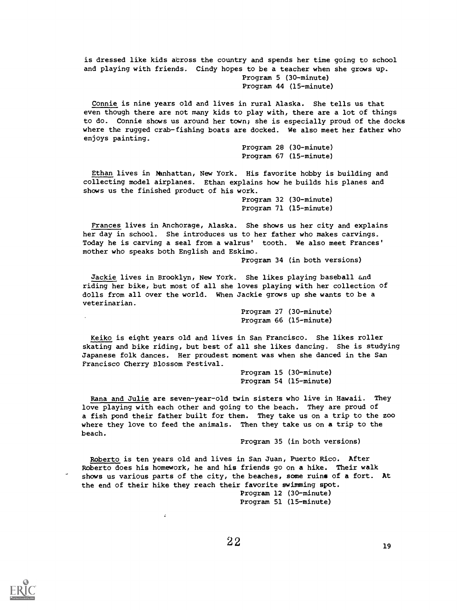is dressed like kids across the country and spends her time going to school and playing with friends. Cindy hopes to be a teacher when she grows up. Program 5 (30-minute) Program 44 (15-minute)

Connie is nine years old and lives in rural Alaska. She tells us that even though there are not many kids to play with, there are a lot of things to do. Connie shows us around her town; she is especially proud of the docks where the rugged crab-fishing boats are docked. We also meet her father who enjoys painting.

> Program 28 (30-minute) Program 67 (15-minute)

Ethan lives in hanhattan, New York. His favorite hobby is building and collecting model airplanes. Ethan explains how he builds his planes and shows us the finished product of his work.

> Program 32 (30-minute) Program 71 (15-minute)

Frances lives in Anchorage, Alaska. She shows us her city and explains her day in school. She introduces us to her father who makes carvings. Today he is carving a seal from a walrus' tooth. We also meet Frances' mother who speaks both English and Eskimo.

Program 34 (in both versions)

Jackie lives in Brooklyn, New York . She likes playing baseball and riding her bike, but most of all she loves playing with her collection of dolls from all over the world. When Jackie grows up she wants to be a veterinarian.

> Program 27 (30-minute) Program 66 (15-minute)

Keiko is eight years old and lives in San Francisco. She likes roller skating and bike riding, but best of all she likes dancing. She is studying Japanese folk dances. Her proudest moment was when she danced in the San Francisco Cherry Blossom Festival.

> Program 15 (30-minute) Program 54 (15-minute)

Rana and Julie are seven-year-old twin sisters who live in Hawaii. They love playing with each other and going to the beach. They are proud of a fish pond their father built for them. They take us on a trip to the zoo where they love to feed the animals. Then they take us on a trip to the beach.

Program 35 (in both versions)

Roberto is ten years old and lives in San Juan, Puerto Rico. After Roberto does his homework, he and his friends go on a hike. Their walk shows us various parts of the city, the beaches, some ruins of a fort. At the end of their hike they reach their favorite swimming spot. Program 12 (30-minute)

Program 51 (15-minute)

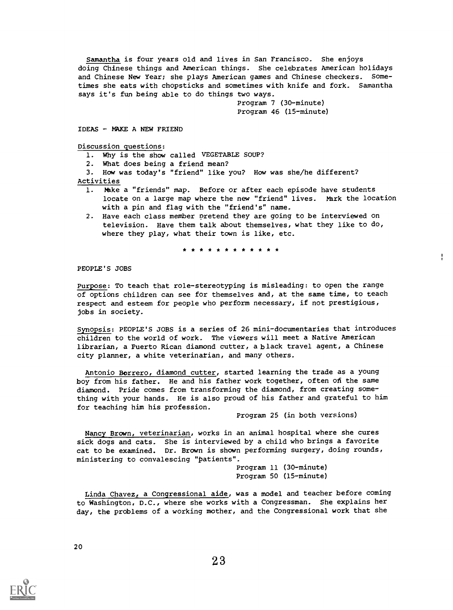Samantha is four years old and lives in San Francisco. She enjoys doing Chinese things and American things. She celebrates American holidays and Chinese New Year; she plays American games and Chinese checkers. Sometimes she eats with chopsticks and sometimes with knife and fork. Samantha says it's fun being able to do things two ways.

> Program 7 (30-minute) Program 46 (15-minute)

#### IDEAS - MAKE A NEW FRIEND

Discussion questions:

1. Why is the show called VEGETABLE SOUP?

2. What does being a friend mean?

3. How was today's "friend" like you? How was she/he different? Activities

- 1. Hhke a "friends" map. Before or after each episode have students locate on a large map where the new "friend" lives. Mark the location with a pin and flag with the "friend's" name.
- 2. Have each class member pretend they are going to be interviewed on television. Have them talk about themselves, what they like to do, where they play, what their town is like, etc.

\* \* \* \* \* \* \* \* \* \* \*

PEOPLE'S JOBS

Purpose: To teach that role-stereotyping is misleading: to open the range of options children can see for themselves and, at the same time, to teach respect and esteem for people who perform necessary, if not prestigious, jobs in society.

Synopsis: PEOPLE'S JOBS is a series of 26 mini-documentaries that introduces children to the world of work. The viewers will meet a Native American librarian, a Puerto Rican diamond cutter, a black travel agent, a Chinese city planner, a white veterinarian, and many others.

Antonio Borrero, diamond cutter, started learning the trade as a young boy from his father. He and his father work together, often ofi the same diamond. Pride comes from transforming the diamond, from creating something with your hands. He is also proud of his father and grateful to him for teaching him his profession.

Program 25 (in both versions)

ţ.

Nancy Brown, veterinarian, works in an animal hospital where she cures sick dogs and cats. She is interviewed by a child who brings a favorite cat to be examined. Dr. Brown is shown performing surgery, doing rounds, ministering to convalescing "patients".

Program 11 (30-minute) Program 50 (15-minute)

Linda Chavez, a Congressional aide, was a model and teacher before coming to Washington, D.C., where she works with a Congressman. She explains her day, the problems of a working mother, and the Congressional work that she

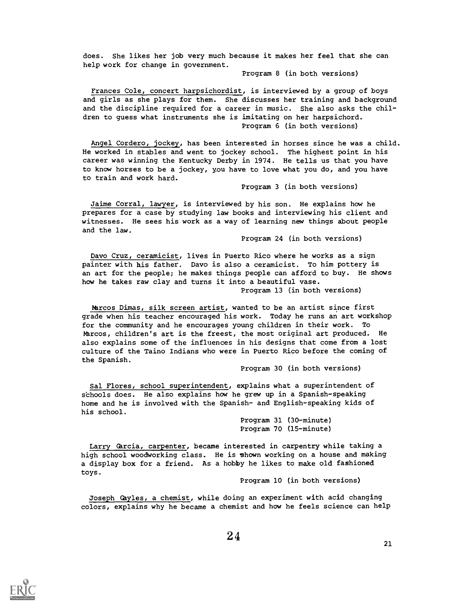does. She likes her job very much because it makes her feel that she can help work for change in government.

Program 8 (in both versions)

Frances Cole, concert harpsichordist, is interviewed by a group of boys and girls as she plays for them. She discusses her training and background and the discipline required for a career in music. She also asks the children to guess what instruments she is imitating on her harpsichord. Program 6 (in both versions)

Angel Cordero, jockey, has been interested in horses since he was a child. He worked in stables and went to jockey school. The highest point in his career was winning the Kentucky Derby in 1974. He tells us that you have to know horses to be a jockey, you have to love what you do, and you have to train and work hard.

Program 3 (in both versions)

Jaime Corral, lawyer, is interviewed by his son. He explains how he prepares for a case by studying law books and interviewing his client and witnesses. He sees his work as a way of learning new things about people and the law.

Program 24 (in both versions)

Davo Cruz, ceramicist, lives in Puerto Rico where he works as a sign painter with his father. Davo is also a ceramicist. To him pottery is an art for the people; he makes things people can afford to buy. He shows how he takes raw clay and turns it into a beautiful vase. Program 13 (in both versions)

Marcos Dimas, silk screen artist, wanted to be an artist since first grade when his teacher encouraged his work. Today he runs an art workshop for the community and he encourages young children in their work. To Marcos, children's art is the freest, the most original art produced. He also explains some of the influences in his designs that come from a lost culture of the Taino Indians who were in Puerto Rico before the coming of the Spanish.

Program 30 (in both versions)

Sal Flores, school superintendent, explains what a superintendent of schools does. He also explains how he grew up in a Spanish-speaking home and he is involved with the Spanish- and English-speaking kids of his school.

> Program 31 (30-minute) Program 70 (15-minute)

Larry Garcia, carpenter, became interested in carpentry while taking a high school woodworking class. He is shown working on a house and making a display box for a friend. As a hobby he likes to make old fashioned toys.

Program 10 (in both versions)

Joseph Gayles, a chemist, while doing an experiment with acid changing colors, explains why he became a chemist and how he feels science can help

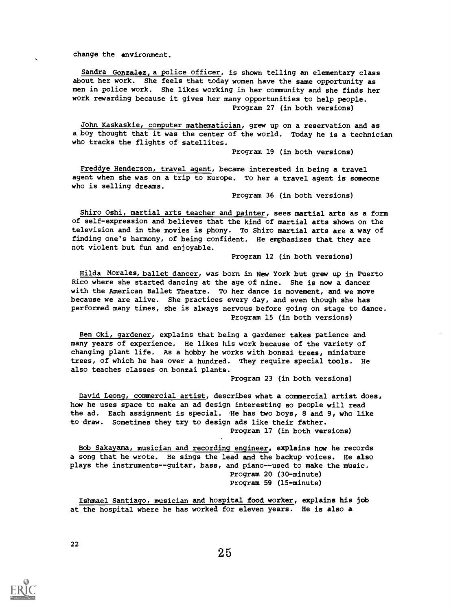change the environment.

Sandra Gonzalez, a police officer, is shown telling an elementary class about her work. She feels that today women have the same opportunity as men in police work. She likes working in her community and she finds her work rewarding because it gives her many opportunities to help people. Program 27 (in both versions)

John Kaskaskie, computer mathematician, grew up on a reservation and as a boy thought that it was the center of the world. Today he is a technician who tracks the flights of satellites.

Program 19 (in both versions)

Freddye Henderson, travel agent, became interested in being a travel agent when she was on a trip to Europe. To her a travel agent is someone who is selling dreams.

Program 36 (in both versions)

Shiro Oshi, martial arts teacher and painter, sees martial arts as a form of self-expression and believes that the kind of martial arts shown on the television and in the movies is phony. To Shiro martial arts are a way of finding one's harmony, of being confident. He emphasizes that they are not violent but fun and enjoyable.

Program 12 (in both versions)

Hilda Morales, ballet dancer, was born in New York but grew up in Puerto Rico where she started dancing at the age of nine. She is now a dancer with the American Ballet Theatre. To her dance is movement, and we move because we are alive. She practices every day, and even though she has performed many times, she is always nervous before going on stage to dance. Program 15 (in both versions)

Ben Oki, gardener, explains that being a gardener takes patience and many years of experience. He likes his work because of the variety of changing plant life. As a hobby he works with bonzai trees, miniature trees, of which he has over a hundred. They require special tools. He also teaches classes on bonzai plants.

Program 23 (in both versions)

David Leong, commercial artist, describes what a commercial artist does, how he uses space to make an ad design interesting so people will read the ad. Each assignment is special. He has two boys, 8 and 9, who like to draw. Sometimes they try to design ads like their father. Program 17 (in both versions)

Bob Sakayama, musician and recording engineer, explains how he records a song that he wrote. He sings the lead and the backup voices. He also plays the instruments--guitar, bass, and piano--used to make the music. Program 20 (30-minute) Program 59 (15-minute)

Ishmael Santiago, musician and hospital food worker, explains his job at the hospital where he has worked for eleven years. He is also a

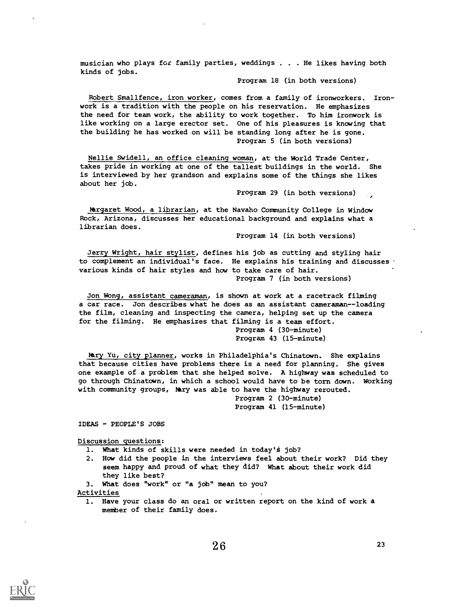musician who plays for family parties, weddings . . . He likes having both kinds of jobs.

## Program 18 (in both versions)

Robert Smallfence, iron worker, comes from a family of ironworkers. Ironwork is a tradition with the people on his reservation. He emphasizes the need for team work, the ability to work together. To him ironwork is like working on a large erector set. One of his pleasures is knowing that the building he has worked on will be standing long after he is gone. Program 5 (in both versions)

Nellie Swidell, an office cleaning woman, at the World Trade Center, takes pride in working at one of the tallest buildings in the world. She is interviewed by her grandson and explains some of the things she likes about her job.

Program 29 (in both versions)

Ntrgaret Wood, a librarian, at the Navaho Community College in Window Rock, Arizona, discusses her educational background and explains what a librarian does.

Program 14 (in both versions)

Jerry Wright, hair stylist, defines his job as cutting and styling hair to complement an individual's face. He explains his training and discusses various kinds of hair styles and how to take care of hair. Program 7 (in both versions)

Jon Wong, assistant cameraman, is shown at work at a racetrack filming a car race. Jon describes what he does as an assistant cameraman--loading the film, cleaning and inspecting the camera, helping set up the camera for the filming. He emphasizes that filming is a team effort. Program 4 (30-minute)

Program 43 (15-minute)

Mary Yu, city planner, works in Philadelphia's Chinatown. She explains that because cities have problems there is a need for planning. She gives one example of a problem that she helped solve. A highway was scheduled to go through Chinatown, in which a school would have to be torn down. Working with community groups, Nary was able to have the highway rerouted.

Program 2 (30-minute) Program 41 (15-minute)

IDEAS - PEOPLE'S JOBS

Discussion questions:

- 1. What kinds of skills were needed in today's job?
- 2. How did the people in the interviews feel about their work? Did they seem happy and proud of what they did? What about their work did they like best?
- 3. What does "work" or "a job" mean to you?

Activities

1. Have your class do an oral or written report on the kind of work a member of their family does.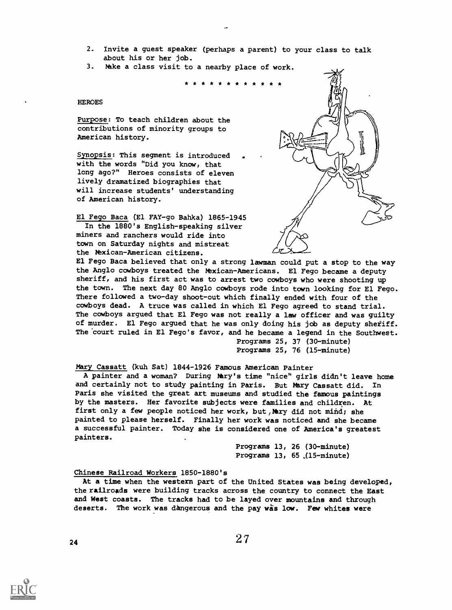- 2. Invite a guest speaker (perhaps a parent) to your class to talk about his or her job.
- 3. hake a class visit to a nearby place of work.

\* \* \* \* \* \* \* \* \* \* \* \*

## **HEROES**

Purpose: To teach children about the contributions of minority groups to American history.

Synopsis: This segment is introduced with the words "Did you know, that long ago?" Heroes consists of eleven lively dramatized biographies that will increase students' understanding of American history.

El Fego Baca (El FAY-go Bahka) 1865-1945 In the 1880's English-speaking silver miners and ranchers would ride into town on Saturday nights and mistreat the Naxican-American citizens.



El Fego Baca believed that only a strong lawman could put a stop to the way the Anglo cowboys treated the Mexican-Americans. El Fego became a deputy sheriff, and his first act was to arrest two cowboys who were shooting up the town. The next day 80 Anglo cowboys rode into town looking for El Fego. There followed a two-day shoot-out which finally ended with four of the cowboys dead. A truce was called in which El Fego agreed to stand trial. The cowboys argued that El Fego was not really a law officer and was guilty of murder. El Fego argued that he was only doing his job as deputy shefiff. The court ruled in El Fego's favor, and he became a legend in the Southwest. Programs 25, 37 (30-minute)

Programs 25, 76 (15-minute)

Mary Cassatt (kuh Sat) 1844-1926 Famous American Painter

A painter and a woman? During Wry's time "nice" girls didn't leave home and certainly not to study painting in Paris. But Mary Cassatt did. In Paris she visited the great art museums and studied the famous paintings by the masters. Her favorite subjects were families and children. At first only a few people noticed her work, but, Mary did not mind; she painted to please herself. Finally her work was noticed and she became a successful painter. Today she is considered one of America's greatest painters.

> Programs 13, 26 (30-minute) Programs  $13, 65$  (15-minute)

## Chinese Railroad Workers 1850-1880's

At a time when the western part of the United States was being developed, the railroads were building tracks across the country to connect the East and West coasts. The tracks had to be layed over mountains and through deserts. The work was dangerous and the pay was low. Few whites were

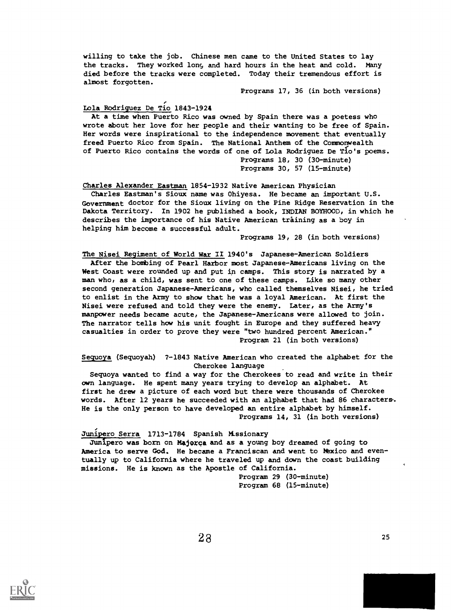willing to take the job. Chinese men came to the United States to lay the tracks. They worked long and hard hours in the heat and cold. Many died before the tracks were completed. Today their tremendous effort is almost forgotten.

Programs 17, 36 (in both versions)

## Lola Rodriguez De Tio 1843-1924

At a time when Puerto Rico was owned by Spain there was a poetess who wrote about her love for her people and their wanting to be free of Spain. Her words were inspirational to the independence movement that eventually freed Puerto Rico from Spain. The National Anthem of the Commonwealth of Puerto Rico contains the words of one of Lola Rodriguez De 'rio's poems. Programs 18, 30 (30-minute) Programs 30, 57 (15-minute)

Charles Alexander Eastman 1854-1932 Native American Physician Charles Eastman's Sioux name was Ohiyesa. He became an important U.S. Government doctor for the Sioux living on the Pine Ridge Reservation in the Dakota Territory. In 1902 he published a book, INDIAN BOYHOOD, in which he describes the importance of his Native American training as a boy in helping him become a successful adult.

Programs 19, 28 (in both versions)

The Nisei Regiment of World War II 1940's Japanese-American Soldiers After the bombing of Pearl Harbor most Japanese-Americans living on the West Coast were rounded up and put in camps. This story is narrated by a man who, as a child, was sent to one of these camps. Like so many other second generation Japanese-Americans, who called themselves Nisei, he tried to enlist in the Army to show that he was a loyal American. At first the Nisei were refused and told they were the enemy. Later, as the Army's manpower needs became acute, the Japanese-Americans were allowed to join. The narrator tells how his unit fought in Europe and they suffered heavy casualties in order to prove they were "two hundred percent American." Program 21 (in both versions)

Sequoya (Sequoyah) ? -1843 Native American who created the alphabet for the Cherokee language

Sequoya wanted to find a way for the Cherokees to read and write in their own language. He spent many years trying to develop an alphabet. At first he drew a picture of each word but there were thousands of Cherokee words. After 12 years he succeeded with an alphabet that had 86 characters. He is the only person to have developed an entire alphabet by himself. Programs 14, 31 (in both versions)

## Junipero Serra 1713-1784 Spanish Missionary

Junipero was born on Majorca and as a young boy dreamed of going to America to serve God. He became a Franciscan and went to Mexico and eventually up to California where he traveled up and down the coast building missions. He is known as the Apostle of California.

> Program 29 (30-minute) Program 68 (15-minute)

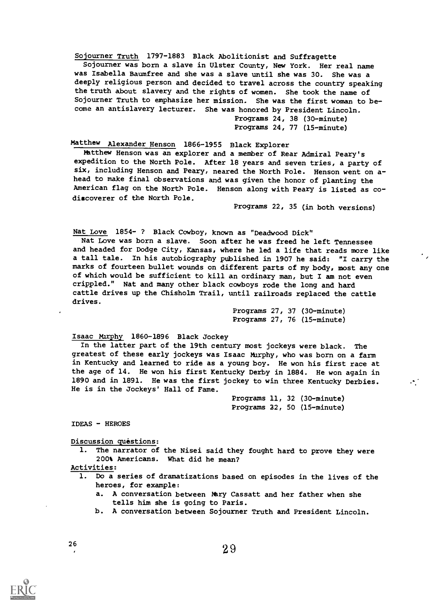Sojourner Truth 1797-1883 Black Abolitionist and Suffragette Sojourner was born a slave in Ulster County, New York. Her real name was Isabella Baumfree and she was a slave until she was 30. She was a deeply religious person and decided to travel across the country speaking the truth about slavery and the rights of women. She took the name of Sojourner Truth to emphasize her mission. She was the first woman to become an antislavery lecturer. She was honored by President Lincoln.

Programs 24, 38 (30-minute) Programs 24, 77 (15-minute)

Matthew Alexander Henson 1866-1955 Black Explorer

Matthew Henson was an explorer and a member of Rear Admiral Peary's expedition to the North Pole. After 18 years and seven tries, a party of six, including Henson and Peary, neared the North Pole. Henson went on ahead to make final observations and was given the honor of planting the American flag on the North Pole. Henson along with Peary is listed as codiscoverer of the North Pole.

Programs 22, 35 (in both versions)

Nat Love 1854- ? Black Cowboy, known as "Deadwood Dick"

Nat Love was born a slave. Soon after he was freed he left Tennessee and headed for Dodge City, Kansas, where he led a life that reads more like a tall tale. In his autobiography published in 1907 he said: "I carry the marks of fourteen bullet wounds on different parts of my body, most any one of which would be sufficient to kill an ordinary man, but I am not even crippled." Nat and many other black cowboys rode the long and hard cattle drives up the Chisholm Trail, until railroads replaced the cattle drives.

> Programs 27, 37 (30-minute) Programs 27, 76 (15-minute)

## Isaac Mirphy 1860-1896 Black Jockey

In the latter part of the 19th century most jockeys were black. The greatest of these early jockeys was Isaac Murphy, who was born on a farm in Kentucky and learned to ride as a young boy. He won his first race at the age of 14. He won his first Kentucky Derby in 1884. He won again in 1890 and in 1891. He was the first jockey to win three Kentucky Derbies. ... He is in the Jockeys' Hall of Fame.

> Programs 11, 32 (30-minute) Programs 22, 50 (15-minute)

IDEAS - HEROES

Discussion questions:

1. The narrator of the Nisei said they fought hard to prove they were 200% Americans. What did he mean?

Activities:

- Do a series of dramatizations based on episodes in the lives of the heroes, for example:
	- a. A conversation between Nary Cassatt and her father when she tells him she is going to Paris.
	- b. A conversation between Sojourner Truth and President Lincoln.

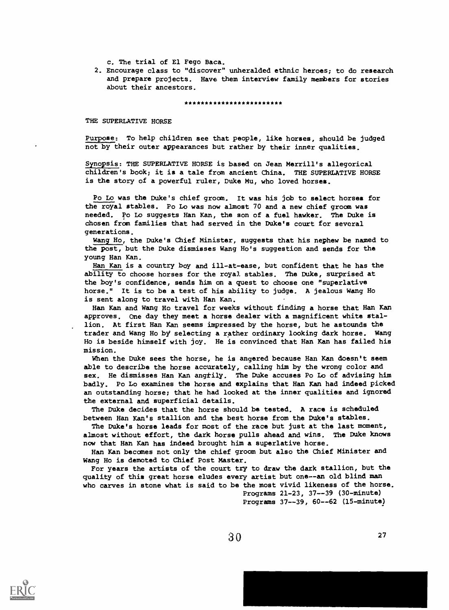c. The trial of El Fego Baca.

2. Encourage class to "discover" unheralded ethnic heroes; to do research and prepare projects. Have them interview family members for stories about their ancestors.

\*\*\*\*\*\*\*\*\*\*\*\*\*\*\*\*\*\*\*\*\*\*\*\*\*

THE SUPERLATIVE HORSE

Purpose: To help children see that people, like horses, should be judged not by their outer appearances but rather by their inner qualities.

Synopsis: THE SUPERLATIVE HORSE is based on Jean Merrill's allegorical children's book; it is a tale from ancient China. THE SUPERLATIVE HORSE is the story of a powerful ruler, Duke Mu, who loved horses.

Po Lo was the Duke's chief groom. It was his job to select horses for the royal stables. Po Lo was now almost 70 and a new chief groom was needed. Po Lo suggests Han Kan, the son of a fuel hawker. The Duke is chosen from families that had served in the Duke's court for several generations.

Wang Ho, the Duke's Chief Minister, suggests that his nephew be named to the post, but the Duke dismisses Wang Ho's suggestion and sends for the young Han Kan.

Han Kan is a country boy and ill-at-ease, but confident that he has the ability to choose horses for the royal stables. The Duke, surprised at the boy's confidence, sends him on a quest to choose one "superlative horse." It is to be a test of his ability to judge. A jealous Wang Ho is sent along to travel with Han Kan.

Han Kan and Wang Ho travel for weeks without finding a horse that Han Kan approves, One day they meet a horse dealer with a magnificent white stallion. At first Han Kan seems impressed by the horse, but he astounds the trader and Wang Ho by selecting a rather ordinary looking dark horse. Wang Ho is beside himself with joy. He is convinced that Han Kan has failed his mission.

When the Duke sees the horse, he is angered because Han Kan doesn't seem able to describe the horse accurately, calling him by the wrong color and sex. He dismisses Han Kan angtily. The Duke accuses Po Lo of advising him badly. Po to examines the horse and explains that Han Kan had indeed picked an outstanding horse; that he had looked at the inner qualities and ignored the external and superficial details.

The Duke decides that the horse should be tested. A race is scheduled between Han Kan's stallion and the best horse from the Duke's stables.

The Duke's horse leads for most of the race but just at the last moment, almost without effort, the dark horse pulls ahead and wins. The Duke knows now that Han Kan has indeed brought him a superlative horse.

Han Kan becomes not only the chief groom but also the Chief Minister and Wang Ho is demoted to Chief Post Master.

For years the artists of the court try to draw the dark stallion, but the quality of this great horse eludes every artist but one--an old blind man who carves in stone what is said to be the most vivid likeness of the horse. Programs 21-23, 37--39 (30-minute) Programs 37--39, 60--62 (15-minute)

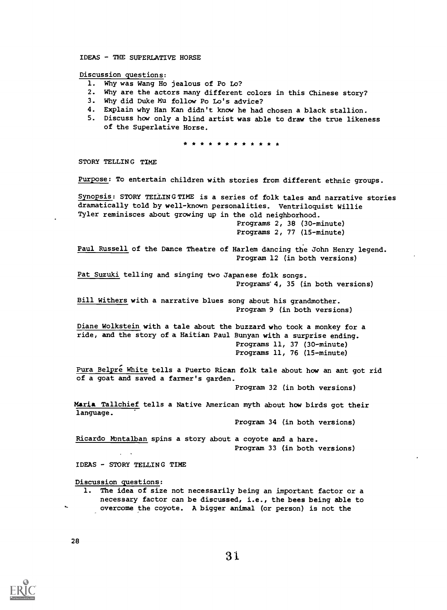IDEAS - THE SUPERLATIVE HORSE

Discussion questions:

- 1. Why was Wang Ho jealous of Po Lo?
- 2. Why are the actors many different colors in this Chinese story?
- 3. Why did Duke Mu follow Po Lo's advice?
- 4. Explain why Han Kan didn't know he had chosen a black stallion.
- 5. Discuss how only a blind artist was able to draw the true likeness of the Superlative Horse.

\* \* \* \* \* \* \* \* \* \* \*

STORY TELLING TIME

Purpose: To entertain children with stories from different ethnic groups.

Synopsis: STORY TELLINGTIME is a series of folk tales and narrative stories dramatically told by well-known personalities. Ventriloquist Willie Tyler reminisces about growing up in the old neighborhood. Programs 2, 38 (30-minute) Programs 2, 77 (15-minute)

Paul Russell of the Dance Theatre of Harlem dancing the John Henry legend. Program 12 (in both versions)

Pat Suzuki telling and singing two Japanese folk songs. Programs'4, 35 (in both versions)

Bill Withers with a narrative blues song about his grandmother. Program 9 (in both versions)

Diane Wolkstein with a tale about the buzzard who took a monkey for a ride, and the story of a Haitian Paul Bunyan with a surprise ending. Programs 11, 37 (30-minute) Programs 11, 76 (15-minute)

Pura Belpre White tells a Puerto Rican folk tale about how an ant got rid of a goat and saved a farmer's garden.

Program 32 (in both versions)

Maria Tallchief tells a Native American myth about how birds got their language.

Program 34 (in both versions)

Ricardo Montalban spins a story about a coyote and a hare. Program 33 (in both versions)

IDEAS - STORY TELLING TIME

Discussion questions:

1. The idea of size not necessarily being an important factor or a necessary factor can be discussed, i.e., the bees being able to overcome the coyote. A bigger animal (or person) is not the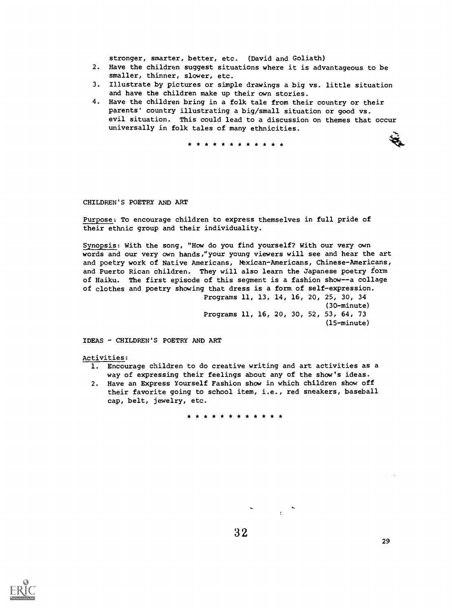stronger, smarter, better, etc. (David and Goliath)

- 2. Have the children suggest situations where it is advantageous to be smaller, thinner, slower, etc.
- 3. Illustrate by pictures or simple drawings a big vs. little situation and have the children make up their own stories.
- 4. Have the children bring in a folk tale from their country or their parents' country illustrating a big/small situation or good vs. evil situation. This could lead to a discussion on themes that occur universally in folk tales of many ethnicities.

\* \* \* \* \* \* \* \* \* \* \* \*

CHILDREN'S POETRY AND ART

Purpose: To encourage children to express themselves in full pride of their ethnic group and their individuality.

Synopsis: With the song, "How do you find yourself? With our very own words and our very own hands,"your young viewers will see and hear the art and poetry work of Native Americans, Mexican-Americans, Chinese-Americans, and Puerto Rican children. They will also learn the Japanese poetry form of Haiku. The first episode of this segment is a fashion show--a collage of clothes and poetry showing that dress is a form of self-expression. Programs 11, 13, 14, 16, 20, 25, 30, 34

(30-minute) Programs 11, 16, 20, 30, 52, 53, 64, 73 (15-minute)

IDEAS - CHILDREN'S POETRY AND ART

Activities:

- 1. Encourage children to do creative writing and art activities as a way of expressing their feelings about any of the show's ideas.
- 2. Have an Express Yourself Fashion show in which children show off their favorite going to school item, i.e., red sneakers, baseball cap, belt, jewelry, etc.

\* \* \* \* \* \* \* \* \* \* \* \*

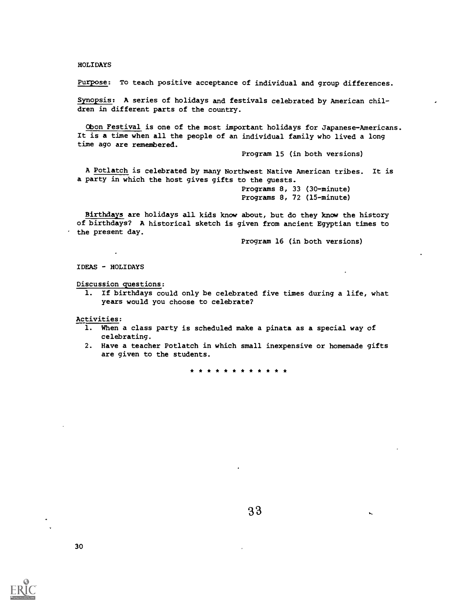## HOLIDAYS

Purpose: To teach positive acceptance of individual and group differences.

Synopsis: A series of holidays and festivals celebrated by American children in different parts of the country.

Obon Festival is one of the most important holidays for Japanese-Americans. It is a time when all the people of an individual family who lived a long time ago are remembered.

Program 15 (in both versions)

A Potlatch is celebrated by many Northwest Native American tribes. It is a party in which the host gives gifts to the guests.

> Programs 8, 33 (30-minute) Programs 8, 72 (15-minute)

Birthdays are holidays all kids know about, but do they know the history of birthdays? A historical sketch is given from ancient Egyptian times to the present day.

Program 16 (in both versions)

IDEAS - HOLIDAYS

Discussion questions:

1. If birthdays could only be celebrated five times during a life, what years would you choose to celebrate?

Activities:

- 1. When a class party is scheduled make a pinata as a special way of celebrating.
- 2. Have a teacher Potlatch in which small inexpensive or homemade gifts are given to the students.

\* \* \* \* \* \* \* \* \* \* \* \*

K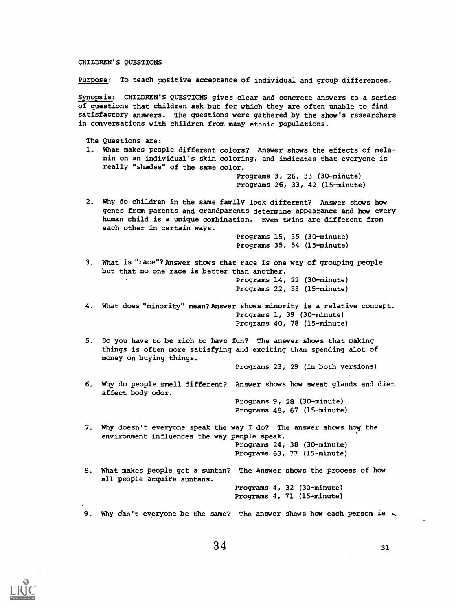## CHILDREN'S QUESTIONS

Purpose: To teach positive acceptance of individual and group differences.

Synopsis: CHILDREN'S QUESTIONS gives clear and concrete answers to a series of questions that children ask but for which they are often unable to find satisfactory answers. The questions were gathered by the show's researchers in conversations with children from many ethnic populations.

The Questions are: 1. What makes people different colors? Answer shows the effects of melanin on an individual's skin coloring, and indicates that everyone is really "shades" of the same color. Programs 3, 26, 33 (30-minute) Programs 26, 33, 42 (15-minute) 2. Why do children in the same family look different? Answer shows how genes from parents and grandparents determine appearance and how every human child is a unique combination. Even twins are different from each other in certain ways. Programs 15, 35 (30-minute) Programs 35, 54 (15-minute) 3. What is "race"? Answer shows that race is one way of grouping people but that no one race is better than another. Programs 14, 22 (30-minute) Programs 22, 53 (15-minute) 4. What does "minority" mean? Answer shows minority is a relative concept. Programs 1, 39 (30-minute) Programs 40, 78 (15-minute) 5. Do you have to be rich to have fun? The answer shows that making things is often more satisfying and exciting than spending alot of money on buying things. Programs 23, 29 (in both versions) 6. Why do people smell different? Answer shows how sweat glands and diet affect body odor. Programs 9, 28 (30-minute) Programs 48, 67 (15-minute) 7. Why doesn't everyone speak the way I do? The answer shows how the environment influences the way people speak. Programs 24, 38 (30-minute) Programs 63, 77 (15-minute) 8. What makes people get a suntan? The answer shows the process of how all people acquire suntans. Programs 4, 32 (30-minute) Programs 4, 71 (15-minute) 9. Why can't everyone be the same? The answer shows how each person is  $\sim$ 

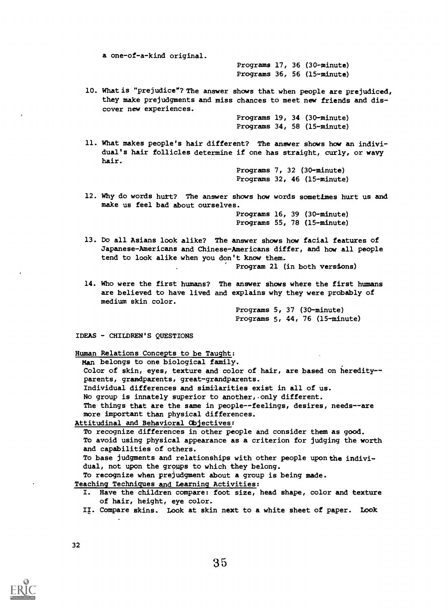a one-of-a-kind original.

Programs 17, 36 (30-minute) Programs 36, 56 (15-minute)

10. What is "prejudice"? The answer shows that when people are prejudiced, they make prejudgments and miss chances to meet new friends and discover new experiences.

> Programs 19, 34 (30-minute) Programs 34, 58 (15-minute)

11. What makes people's hair different? The answer shows how an individual's hair follicles determine if one has straight, curly, or wavy hair.

> Programs 7, 32 (30-minute) Programs 32, 46 (15-minute)

12. Why do words hurt? The answer shows how words sometimes hurt us and make us feel bad about ourselves.

> Programs 16, 39 (30-minute) Programs 55, 78 (15-minute)

13. Do all Asians look alike? The answer shows how facial features of Japanese-Americans and Chinese-Americans differ, and how all people tend to look alike when you don't know them.

Program 21 (in both versions)

14. Who were the first humans? The answer shows where the first humans are believed to have lived and explains why they were probably of medium skin color.

> Programs 5, 37 (30-minute) Programs 5, 44, 76 (15-minute)

IDEAS - CHILDREN'S QUESTIONS

Human Relations Concepts to be Taught:

Man belongs to one biological family.

Color of skin, eyes, texture and color of hair, are based on heredity-parents, grandparents, great-grandparents. Individual differences and similarities exist in all of us. No group is innately superior to another, only different. The things that are the same in people--feelings, desires, needs--are more important than physical differences.

Attitudinal and Behavioral Objectives:

To recognize differences in other people and consider them as good. To avoid using physical appearance as a criterion for judging the worth and capabilities of others.

To base judgments and relationships with other people upon the individual, not upon the groups to which they belong.

To recognize when prejudgment about a group is being made.

Teaching Techniques and Learning Activities:

- I. Have the children compare: foot size, head shape, color and texture of hair, height, eye color.
- II. Compare skins. Look at skin next to a white sheet of paper. Look

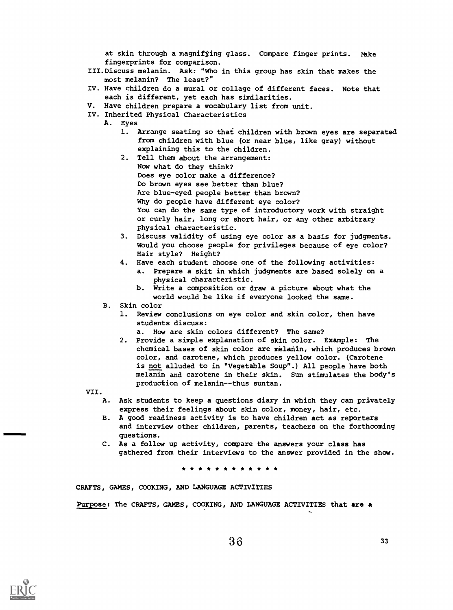at skin through a magnifying glass. Compare finger prints. Make fingerprints for comparison.

- III.Discuss melanin. Ask: "Who in this group has skin that makes the most melanin? The least?"
- IV. Have children do a mural or collage of different faces. Note that each is different, yet each has similarities.
- Have children prepare a vocabulary list from unit.
- IV. Inherited Physical Characteristics
	- A. Eyes
		- 1. Arrange seating so that children with brown eyes are separated from children with blue (or near blue, like gray) without explaining this to the children.
		- 2. Tell them about the arrangement: Now what do they think? Does eye color make a difference? Do brown eyes see better than blue? Are blue-eyed people better than brown? Why do people have different eye color? You can do the same type of introductory work with straight or curly hair, long or short hair, or any other arbitrary physical characteristic.
		- 3. Discuss validity of using eye color as a basis for judgments. Would you choose people for privileges because of eye color? Hair style? Height?
		- 4. Have each student choose one of the following activities:
			- a. Prepare a skit in which judgments are based solely on a physical characteristic.
			- b. Write a composition or draw a picture about what the world would be like if everyone looked the same.
		- B. Skin color
			- 1. Review conclusions on eye color and skin color, then have students discuss:
				- a. How are skin colors different? The same?
			- 2. Provide a simple explanation of skin color. Example: The chemical bases of skin color are melanin, which produces brown color, and carotene, which produces yellow color. (Carotene is not alluded to in "Vegetable Soup".) All people have both melanin and carotene in their skin. Sun stimulates the body's production of melanin--thus suntan.

VII.

- A. Ask students to keep a questions diary in which they can privately express their feelings about skin color, money, hair, etc.
- B. A good readiness activity is to have children act as reporters and interview other children, parents, teachers on the forthcoming questions.
- C. As a follow up activity, compare the answers your class has gathered from their interviews to the answer provided in the show.

\* \* \* \* \* \* \* \* \* \* \* \*

CRAFTS, GAMES, COOKING, AND LANGUAGE ACTIVITIES

Purpose: The CRAFTS, GAMES, COOKING, AND LANGUAGE ACTIVITIES that are a

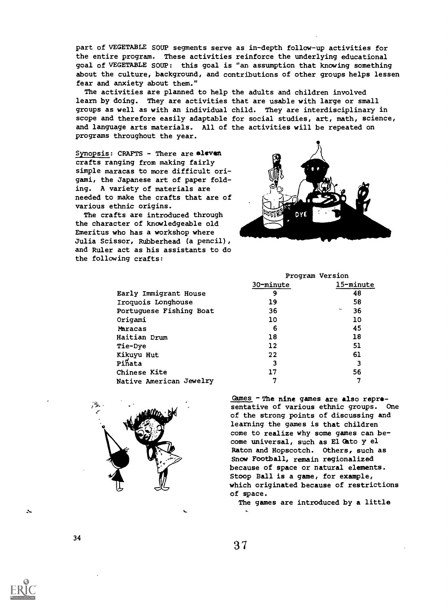part of VEGETABLE SOUP segments serve as in-depth follow-up activities for the entire program. These activities reinforce the underlying educational goal of VEGETABLE SOUP: this goal is "an assumption that knowing something about the culture, background, and contributions of other groups helps lessen fear and anxiety about them."

The activities are planned to help the adults and children involved learn by doing. They are activities that are usable with large or small groups as well as with an individual child. They are interdisciplinary in scope and therefore easily adaptable for social studies, art, math, science, and language arts materials. All of the activities will be repeated on programs throughout the year.

Synopsis: CRAFTS - There are eleven crafts ranging from making fairly simple maracas to more difficult origami, the Japanese art of paper fold ing. A variety of materials are needed to make the crafts that are of various ethnic origins. 1

Emeritus who has a workshop where 411111411101111111111111b Julia Scissor, Rubberhead (a pencil), The crafts are introduced through the character of knowledgeable old and Ruler act as his assistants to do the following crafts:

| Early Immigrant House   |  |  |  |
|-------------------------|--|--|--|
| Iroquois Longhouse      |  |  |  |
| Portuguese Fishing Boat |  |  |  |
| Origami                 |  |  |  |
| Maracas                 |  |  |  |
| Haitian Drum            |  |  |  |
| Tie-Dye                 |  |  |  |
| Kikuyu Hut              |  |  |  |
| Pinata                  |  |  |  |
| Chinese Kite            |  |  |  |
| Native American Jewelry |  |  |  |





| Program Version |           |  |  |  |  |
|-----------------|-----------|--|--|--|--|
| 30-minute       | 15-minute |  |  |  |  |
| 9               | 48        |  |  |  |  |
| 19              | 58        |  |  |  |  |
| 36              | 36<br>~   |  |  |  |  |
| 10              | 10        |  |  |  |  |
| 6               | 45        |  |  |  |  |
| 18              | 18        |  |  |  |  |
| 12              | 51        |  |  |  |  |
| 22              | 61        |  |  |  |  |
| 3               | 3         |  |  |  |  |
| 17              | 56        |  |  |  |  |
|                 |           |  |  |  |  |

Games - The nine games are also representative of various ethnic groups. One of the strong points of discussing and learning the games is that children come to realize why some games can become universal, such as El Cato y el Raton and Hopscotch. Others, such as Snow Football, remain regionalized because of space or natural elements. Stoop Ball is a game, for example, which originated because of restrictions of space.

The games are introduced by a little

34



Zs-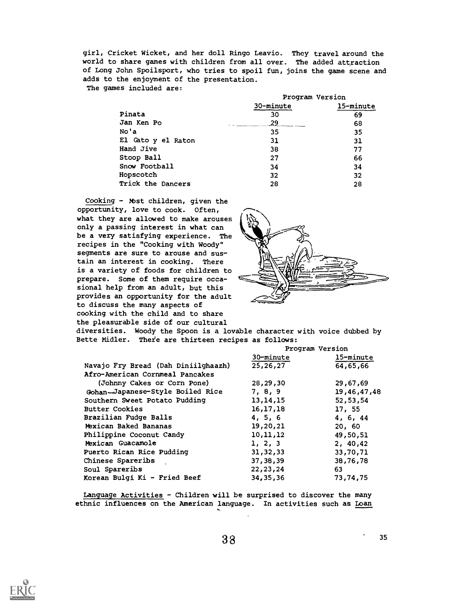girl, Cricket Wicket, and her doll Ringo Leavio. They travel around the world to share games with children from all over. The added attraction of Long John Spoilsport, who tries to spoil fun, joins the game scene and adds to the enjoyment of the presentation.

The games included are:

|                    | Program Version |           |
|--------------------|-----------------|-----------|
|                    | 30-minute       | 15-minute |
| Pinata             | 30              | 69        |
| Jan Ken Po         | 29              | 68        |
| No'a               | 35              | 35        |
| El Cato y el Raton | 31              | 31        |
| Hand Jive          | 38              | 77        |
| Stoop Ball         | 27              | 66        |
| Snow Football      | 34              | 34        |
| Hopscotch          | 32              | 32        |
| Trick the Dancers  | 28              | 28        |

Cooking - Nbst children, given the opportunity, love to cook. Often, what they are allowed to make arouses only a passing interest in what can be a very satisfying experience. The recipes in the "Cooking with Woody" segments are sure to arouse and sustain an interest in cooking. There is a variety of foods for children to prepare. Some of them require occasional help from an adult, but this provides an opportunity for the adult to discuss the many aspects of cooking with the child and to share the pleasurable side of our cultural

diversities. Woody the Spoon is a lovable character with voice dubbed by Bette Midler. Theie are thirteen recipes as follows:

|                                     | Program Version |             |
|-------------------------------------|-----------------|-------------|
|                                     | 30-minute       | 15-minute   |
| Navajo Fry Bread (Dah Diniilghaazh) | 25,26,27        | 64,65,66    |
| Afro-American Cornmeal Pancakes     |                 |             |
| (Johnny Cakes or Corn Pone)         | 28,29,30        | 29,67,69    |
| Gohan-Japanese-Style Boiled Rice    | 7, 8, 9         | 19,46,47,48 |
| Southern Sweet Potato Pudding       | 13, 14, 15      | 52,53,54    |
| <b>Butter Cookies</b>               | 16,17,18        | 17, 55      |
| Brazilian Fudge Balls               | 4, 5, 6         | 4, 6, 44    |
| Mexican Baked Bananas               | 19,20,21        | 20, 60      |
| Philippine Coconut Candy            | 10,11,12        | 49,50,51    |
| Mexican Guacamole                   | 1, 2, 3         | 2, 40, 42   |
| Puerto Rican Rice Pudding           | 31, 32, 33      | 33,70,71    |
| Chinese Spareribs                   | 37,38,39        | 38,76,78    |
| Soul Spareribs                      | 22, 23, 24      | 63          |
| Korean Bulgi Ki - Fried Beef        | 34, 35, 36      | 73,74,75    |

Language Activities - Children will be surprised to discover the many ethnic influences on the American language. In activities such as Loan

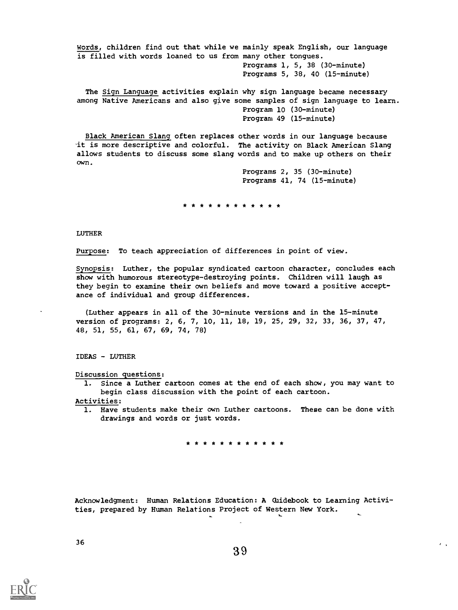Words, children find out that while we mainly speak English, our language is filled with words loaned to us from many other tongues. Programs 1, 5, 38 (30-minute) Programs 5, 38, 40 (15-minute) The Sign Language activities explain why sign language became necessary among Native Americans and also give some samples of sign language to learn. Program 10 (30-minute)

Black American Slang often replaces other words in our language because it is more descriptive and colorful. The activity on Black American Slang allows students to discuss some slang words and to make up others on their own.

> Programs 2, 35 (30-minute) Programs 41, 74 (15-minute)

Program 49 (15-minute)

\* \* \* \* \* \* \* \* \* \* \* \*

LUTHER

Purpose: To teach appreciation of differences in point of view.

Synopsis: Luther, the popular syndicated cartoon character, concludes each show with humorous stereotype-destroying points. Children will laugh as they begin to examine their own beliefs and move toward a positive acceptance of individual and group differences.

(Luther appears in all of the 30-minute versions and in the 15-minute version of programs: 2, 6, 7, 10, 11, 18, 19, 25, 29, 32, 33, 36, 37, 47, 48, 51, 55, 61, 67, 69, 74, 78)

IDEAS - LUTHER

Discussion questions:

1. Since a Luther cartoon comes at the end of each show, you may want to begin class discussion with the point of each cartoon. Activities:

1. Have students make their own Luther cartoons. These can be done with drawings and words or just words.

\* \* \* \* \* \* \* \*

Acknowledgment: Human Relations Education: A Glidebook to Learning Activities, prepared by Human Relations Project of Western New York.

 $\mathbf{r}$ 

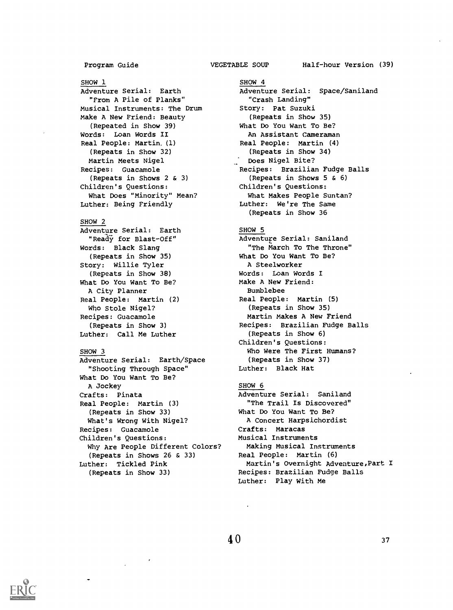Program Guide **VEGETABLE SOUP** 

## SHOW 1

Adventure Serial: Earth "From A Pile of Planks" Musical Instruments: The Drum Make A New Friend: Beauty (Repeated in Show 39) Words: Loan Words II Real People: Martin, (1) (Repeats in Show 32) Martin Meets Nigel Recipes: Guacamole (Repeats in Shows 2 & 3) Children's Questions: What Does "Minority" Mean? Luther: Being Friendly

## SHOW 2

Adventure Serial: Earth "Ready for Blast-Off" Words: Black Slang (Repeats in Show 35) Story: Willie Tyler (Repeats in Show 38) What Do You Want To Be? A City Planner Real People: Martin (2) Who Stole Nigel? Recipes: Guacamole (Repeats in Show 3) Luther: Call Me Luther

## SHOW 3

Adventure Serial: Earth/Space "Shooting Through Space" What Do You Want To Be? A Jockey Crafts: Pinata Real People: Martin (3) (Repeats in Show 33) What's Wrong With Nigel? Recipes: Guacamole Children's Questions: Why Are People Different Colors? (Repeats in Shows 26 & 33) Luther: Tickled Pink (Repeats in Show 33)

SHOW 4 Adventure Serial: Space/Saniland "Crash Landing" Story: Pat Suzuki (Repeats in Show 35) What Do You Want To Be? An Assistant Cameraman Real People: Martin (4) (Repeats in Show 34) Does Nigel Bite? Recipes: Brazilian Fudge Balls (Repeats in Shows 5 & 6) Children's Questions: What Makes People Suntan? Luther: We're The Same (Repeats in Show 36

## SHOW 5

Adventure Serial: Saniland "The March To The Throne" What Do You Want To Be? A Steelworker Words: Loan Words I Make A New Friend: Bumblebee Real People: Martin (5) (Repeats in Show 35) Martin Makes A New Friend Recipes: Brazilian Fudge Balls (Repeats in Show 6) Children's Questions: Who Were The First Humans? (Repeats in Show 37) Luther: Black Hat

## SHOW 6

Adventure Serial: Saniland "The Trail Is Discovered" What Do You Want To Be? A Concert Harpsichordist Crafts: Maracas Musical Instruments Making Musical Instruments Real People: Martin (6) Martin's Overnight Adventure,Part I Recipes: Brazilian Fudge Balls Luther: Play With Me

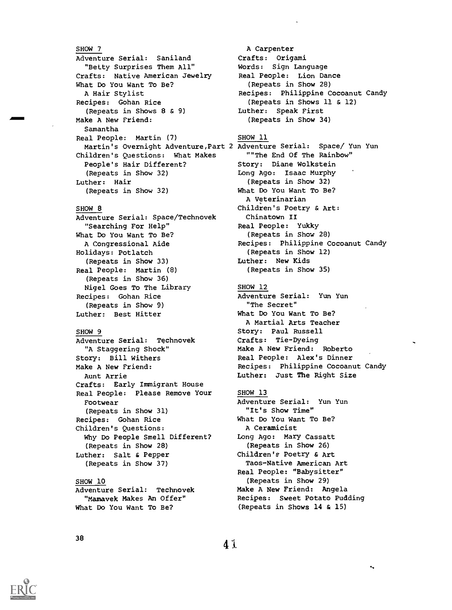## SHOW 7 Adventure Serial: Saniland "Betty Surprises Them All" Crafts: Native American Jewelry What Do You Want To Be? A Hair Stylist Recipes: Gohan Rice (Repeats in Shows 8 & 9) Make A New Friend: Samantha Real People: Martin (7) Children's Questions: What Makes People's Hair Different? (Repeats in Show 32) Luther: Hair (Repeats in Show 32)

## SHOW 8

Adventure Serial: Space/Technovek "Searching For Help" What Do You Want To Be? A Congressional Aide Holidays: Potlatch (Repeats in Show 33) Real People: Martin (8) (Repeats in Show 36) Nigel Goes To The Library Recipes: Gohan Rice (Repeats in Show 9) Luther: Best Hitter

## SHOW 9

Adventure Serial: Technovek "A Staggering Shock" Story: Bill Withers Make A New Friend: Aunt Arrie Crafts: Early Immigrant House Real People: Please Remove Your Footwear (Repeats in Show 31) Recipes: Gohan Rice Children's Questions: Why Do People Smell Different? (Repeats in Show 28) Luther: Salt & Pepper (Repeats in Show 37)

## SHOW 10

Adventure Serial: Technovek "Mamavek Makes An Offer" What Do You Want To Be?

A Carpenter Crafts: Origami Words: Sign Language Real People: Lion Dance (Repeats in Show 28) Recipes: Philippine Cocoanut Candy (Repeats in Shows 11 & 12) Luther: Speak First (Repeats in Show 34)

SHOW 11

Martin's Overnight Adventure,Part 2 Adventure Serial: Space/ Yun Yun ""The End Of The Rainbow" Story: Diane Wolkstein Long Ago: Isaac Murphy (Repeats in Show 32) What Do You Want To Be? A Veterinarian Children's Poetry & Art: Chinatown II Real People: Yukky (Repeats in Show 28) Recipes: Philippine Cocoanut Candy (Repeats in Show 12) Luther: New Kids (Repeats in Show 35)

### SHOW 12

Adventure Serial: Yun Yun "The Secret" What Do You Want To Be? A Martial Arts Teacher Story: Paul Russell Crafts: Tie-Dyeing Make A New Friend: Roberto Real People: Alex's Dinner Recipes: Philippine Cocoanut Candy Luther: Just The Right Size

## SHOW 13

Adventure Serial: Yun Yun "It's Show Time" What Do You Want To Be? A Ceramicist Long Ago: Mary Cassatt (Repeats in Show 26) Children's Poetry & Art Taos-Native American Art Real People: "Babysitter" (Repeats in Show 29) Make A New Friend: Angela Recipes: Sweet Potato Pudding (Repeats in Shows 14 & 15)

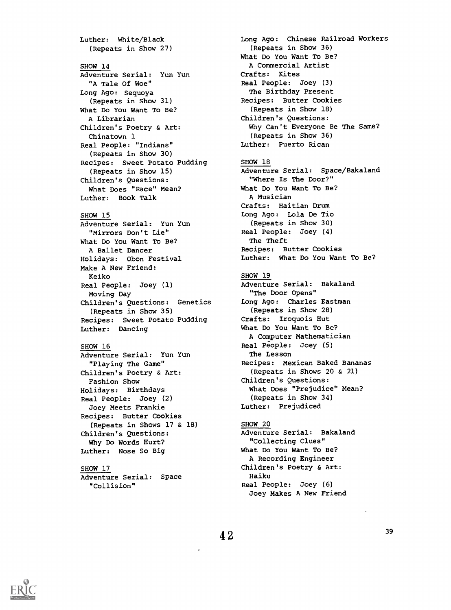Luther: White/Black (Repeats in Show 27) SHOW 14 Adventure Serial: Yun Yun "A Tale Of Woe" Long Ago: Sequoya (Repeats in Show 31) What Do You Want To Be? A Librarian Children's Poetry & Art: Chinatown 1 Real People: "Indians" (Repeats in Show 30) Recipes: Sweet Potato Pudding (Repeats in Show 15) Children's Questions: What Does "Race" Mean? Luther: Book Talk SHOW 15 Adventure Serial: Yun Yun "Mirrors Don't Lie" What Do You Want To Be? A Ballet Dancer Holidays: Obon Festival Make A New Friend: Keiko Real People: Joey (1) Moving Day Children's Questions: Genetics (Repeats in Show 35)

```
Recipes: Sweet Potato Pudding
Luther: Dancing
```
## SHOW 16

```
Adventure Serial: Yun Yun
  "Playing The Game"
Children's Poetry & Art:
 Fashion Show
Holidays: Birthdays
Real People: Joey (2)
 Joey Meets Frankie
Recipes: Butter Cookies
 (Repeats in Shows 17 & 18)
Children's Questions:
 Why Do Words Hurt?
Luther: Nose So Big
```
## SHOW 17

```
Adventure Serial: Space
  "Collision"
```
Long Ago: Chinese Railroad Workers (Repeats in Show 36) What Do You Want To Be? A Commercial Artist Crafts: Kites Real People: Joey (3) The Birthday Present Recipes: Butter Cookies (Repeats in Show 18) Children's Questions: Why Can't Everyone Be The Same? (Repeats in Show 36) Luther: Puerto Rican SHOW 18 Adventure Serial: Space/Bakaland "Where Is The Door?" What Do You Want To Be? A Musician Crafts: Haitian Drum Long Ago: Lola De Tio (Repeats in Show 30) Real People: Joey (4) The Theft Recipes: Butter Cookies Luther: What Do You Want To Be? SHOW 19 Adventure Serial: Bakaland "The Door Opens" Long Ago: Charles Eastman (Repeats in Show 28) Crafts: Iroquois Hut What Do You Want To Be? A Computer Mathematician Real People: Joey (5) The Lesson Recipes: Mexican Baked Bananas (Repeats in Shows 20 & 21) Children's Questions: What Does "Prejudice" Mean? (Repeats in Show 34) Luther: Prejudiced

## SHOW 20

Adventure Serial: Bakaland "Collecting Clues" What Do You Want To Be? A Recording Engineer Children's Poetry & Art: Haiku Real People: Joey (6) Joey Makes A New Friend

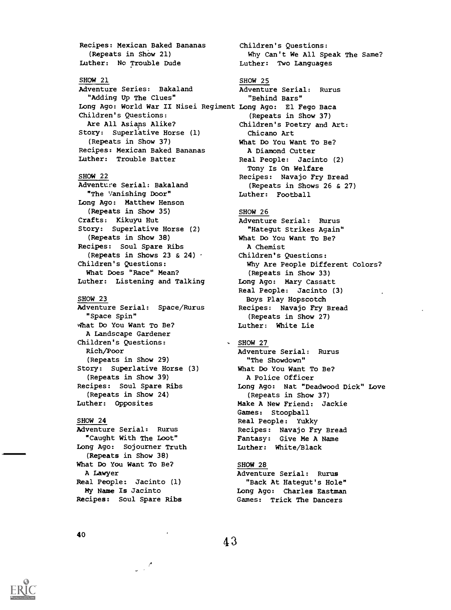Recipes: Mexican Baked Bananas (Repeats in ShOw 21) Luther: No Trouble Dude SHOW 21 Adventure Series: Bakaland "Adding Up The Clues" Children's Questions: Are All Asians Alike? Story: Superlative Horse (1) (Repeats in Show 37) Recipes: Mexican Baked Bananas Luther: Trouble Batter SHOW 22 Adventure Serial: Bakaland "The Vanishing Door" Long Ago: Matthew Henson (Repeats in Show 35) Crafts: Kikuyu Hut Story: Superlative Horse (2) (Repeats in Show 38) Recipes: Soul Spare Ribs (Repeats in Shows 23 & 24)  $\cdot$ Children's Questions: What Does "Race" Mean? Luther: Listening and Talking SHOW 23 Adventure Serial: Space/Rurus "Space Spin" What Do You Want To Be? A Landscape Gardener Children's Questions: Rich/Poor (Repeats in Show 29) Story: Superlative Horse (3) (Repeats in Show 39) Recipes: Soul Spare Ribs (Repeats in Show 24) Luther: Opposites SHOW 24

## Adventure Serial: Rurus "Caught With The Loot" Long Ago: Sojourner Truth (Repeats in Show 38) What Do You Want To Be? A Lawyer Real People: Jacinto (1) My Name Is Jacinto Recipes: Soul Spare Ribs

 $\frac{1}{2} \frac{1}{2} \frac{d^2}{dx^2}$ 

Long Ago: World War II Nisei Regiment Long Ago: El Fego Baca Children's Questions: Why Can't We All Speak The Same? Luther: Two Languages SHOW 25 Adventure Serial: Rurus "Behind Bars" (Repeats in Show 37) Children's Poetry and Art: Chicano Art What Do You Want To Be? A Diamond Cutter Real People: Jacinto (2) Tony Is On Welfare Recipes: Navajo Fry Bread (Repeats in Shows 26 & 27) Luther: Football SHOW 26 Adventure Serial: Rurus "Hategut Strikes Again" What Do You Want To Be? A Chemist Children's Questions: Why Are People Different Colors? (Repeats in Show 33) Long Ago: Mary Cassatt Real People: Jacinto (3) Boys Play Hopscotch Recipes: Navajo Fry Bread (Repeats in Show 27) Luther: White Lie  $-SHOW 27$ Adventure Serial: Rurus "The Showdown" What Do You Want To Be?

A Police Officer Long Ago: Nat "Deadwood Dick" Love (Repeats in Show 37) Make A New Friend: Jackie Games: Stoopball Real People: Yukky Recipes: Navajo Fry Bread Fantasy: Give Me A Name Luther: White/Black

## SHOW 28

Adventure Serial: Rurus "Back At Hategut's Hole" Long Ago: Charles Eastman Games: Trick The Dancers

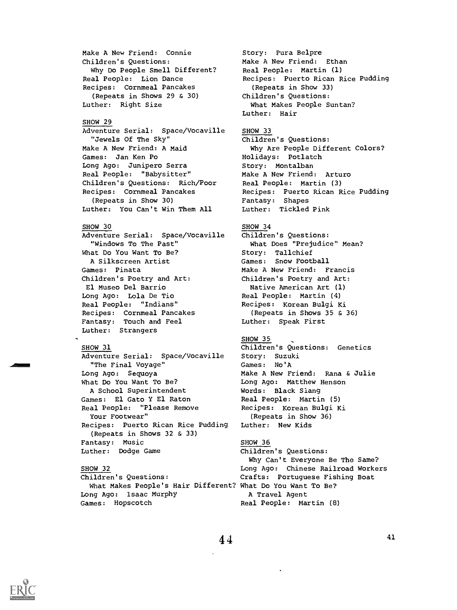Make A New Friend: Connie Children's Questions: Why Do People Smell Different? Real People: Lion Dance Recipes: Cornmeal Pancakes (Repeats in Shows 29 & 30) Luther: Right Size

## SHOW 29

Adventure Serial: Space/Vocaville "Jewels Of The Sky" Make A New Friend: A Maid Games: Jan Ken Po Long Ago: Junipero Serra Real People: "Babysitter" Children's Questions: Rich/Poor Recipes: Cornmeal Pancakes (Repeats in Show 30) Luther: You Can't Win Them All

## SHOW 30

Adventure Serial: Space/Vocaville "Windows To The Past" What Do You Want To Be? A Silkscreen Artist Games: Pinata Children's Poetry and Art: El Museo Del Barrio Long Ago: Lola De Tio Real People: "Indians" Recipes: Cornmeal Pancakes Fantasy: Touch and Feel Luther: Strangers

## SHOW 31

Adventure Serial: Space/Vocaville "The Final Voyage" Long Ago: Sequoya What Do You Want To Be? A School Superintendent Games: El Gato Y El Raton Real People: "Please Remove Your Footwear" Recipes: Puerto Rican Rice Pudding (Repeats in Shows 32 & 33) Fantasy: Music Luther: Dodge Game

What Makes People's Hair Different? What Do You Want To Be? Long Ago: Isaac Murphy A Travel Agent Games: Hopscotch and Real People: Martin (8)

Story: Pura Belpre Make A New Friend: Ethan Real People: Martin (1) Recipes: Puerto Rican Rice Pudding (Repeats in Show 33) Children's Questions: What Makes People Suntan? Luther: Hair

## SHOW 33

Children's Questions: Why Are People Different Colors? Holidays: Potlatch Story: Montalban Make A New Friend: Arturo Real People: Martin (3) Recipes: Puerto Rican Rice Pudding Fantasy: Shapes Luther: Tickled Pink

## SHOW 34

Children's Questions: What Does "Prejudice" Mean? Story: Tallchief Games: Snow Football Make A New Friend: Francis Children's Poetry and Art: Native American Art (1) Real People: Martin (4) Recipes: Korean Bulgi Ki (Repeats in Shows 35 & 36) Luther: Speak First

## SHOW 35

Children's Questions: Genetics Story: Suzuki Games: No'A Make A New Friend: Rana & Julie Long Ago: Matthew Henson Words: Black Slang Real People: Martin (5) Recipes: Korean Bulgi Ki (Repeats in Show 36) Luther: New Kids

## SHOW 36

Children's Questions: Why Can't Everyone Be The Same? SHOW 32 Long Ago: Chinese Railroad Workers Children's Questions: Crafts: Portuguese Fishing Boat

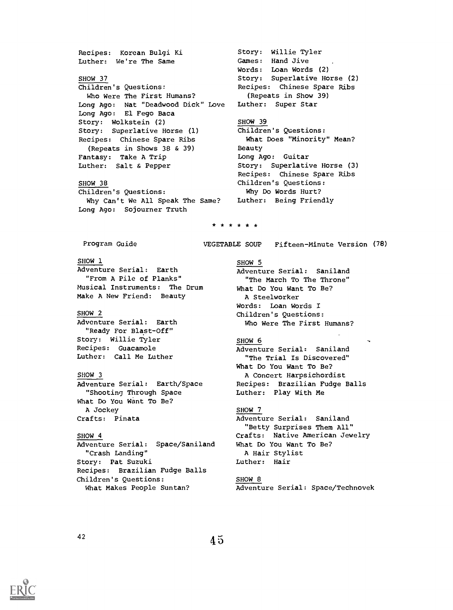Recipes: Korean Bulgi Ki Story: Willie Tyler Games: Hand Jive Luther: We're The Same Words: Loan Words (2) Story: Superlative Horse (2) SHOW 37 Children's Questions: Recipes: Chinese Spare Ribs Who Were The First Humans? (Repeats in Show 39) Luther: Super Star Long Ago: Nat "Deadwood Dick" Love Long Ago: El Fego Baca SHOW 39 Story: Wolkstein (2) Children's Questions: Story: Superlative Horse (1) What Does "Minority" Mean? Recipes: Chinese Spare Ribs (Repeats in Shows 38 & 39) Beauty Fantasy: Take A Trip Long Ago: Guitar Luther: Salt & Pepper Story: Superlative Horse (3) Recipes: Chinese Spare Ribs SHOW 38 Children's Questions: Why Do Words Hurt? Children's Questions: Why Can't We All Speak The Same? Luther: Being Friendly Long Ago: Sojourner Truth \* \* \* \* \* \* Program Guide VEGETABLE SOUP Fifteen-Minute Version (78) SHOW 1 SHOW 5 Adventure Serial: Earth Adventure Serial: Saniland "From A Pile of Planks" "The March To The Throne" Musical Instruments: The Drum What Do You Want To Be? Make A New Friend: Beauty A Steelworker Words: Loan Words I SHOW 2 Children's Questions: Adventure Serial: Earth Who Were The First Humans? "Ready For Blast-Off" Story: Willie Tyler SHOW 6 Recipes: Guacamole Adventure Serial: Saniland Luther: Call Me Luther "The Trial Is Discovered" What Do You Want To Be? SHOW 3 A Concert Harpsichordist Adventure Serial: Earth/Space Recipes: Brazilian Fudge Balls "Shooting Through Space Luther: Play With Me What Do You Want To Be? SHOW 7 A Jockey Crafts: Pinata Adventure Serial: Saniland "Betty Surprises Them All" SHOW 4 Crafts: Native American Jewelry Adventure Serial: Space/Saniland What Do You Want To Be? "Crash Landing" A Hair Stylist Story: Pat Suzuki Luther: Hair Recipes: Brazilian Fudge Balls Children's Questions: SHOW 8 What Makes People Suntan? Adventure Serial: Space/Technovek

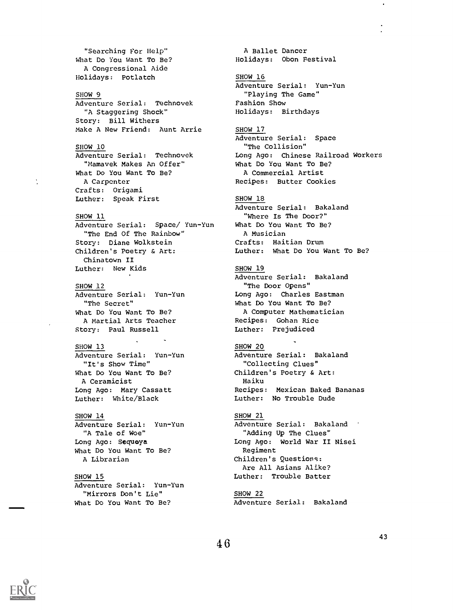"Searching For Help" What Do You Want To Be? A Congressional Aide Holidays: Potlatch

## SHOW 9

Adventure Serial: Technovek "A Staggering Shock" Story: Bill Withers Make A New Friend: Aunt Arrie

## SHOW 10

Adventure Serial: Technovek "Mamavek Makes An Offer" What Do You Want To Be? A Carpenter Crafts: Origami Luther: Speak First

## SHOW 11

Adventure Serial: Space/ Yun-Yun "The End Of The Rainbow" Story: Diane Wolkstein Children's Poetry & Art: Chinatown II Luther: New Kids

## SHOW 12

Adventure Serial: Yun-Yun "The Secret" What Do You Want To Be? A Martial Arts Teacher Story: Paul Russell

## SHOW 13

Adventure Serial: Yun-Yun "It's Show Time" What Do You Want To Be? A Ceramicist Long Ago: Mary Cassatt

## SHOW 14

Adventure Serial: Yun-Yun "Mirrors Don't Lie" What Do You Want To Be?

A Ballet Dancer Holidays: Obon Festival

### SHOW 16

Adventure Serial: Yun-Yun "Playing The Game" Fashion Show Holidays: Birthdays

#### SHOW 17

Adventure Serial: Space "The Collision" Long Ago: Chinese Railroad Workers What Do You Want To Be? A Commercial Artist Recipes: Butter Cookies

#### SHOW 18

Adventure Serial: Bakaland "Where Is The Door?" What Do You Want To Be? A Musician Crafts: Haitian Drum Luther: What Do You Want To Be?

## SHOW 19

SHOW 20

Haiku

Adventure Serial: Bakaland "The Door Opens" Long Ago: Charles Eastman What Do You Want To Be? A Computer Mathematician Recipes: Gohan Rice Luther: Prejudiced

Adventure Serial: Bakaland

"Collecting Clues" Children's Poetry & Art:

Luther: White/Black

Adventure Serial: Yun-Yun "A Tale of Woe" Long Ago: Sequoya What Do You Want To Be? A Librarian

## SHOW 15

## Recipes: Mexican Baked Bananas Luther: No Trouble Dude

SHOW 21 Adventure Serial: Bakaland "Adding Up The Clues" Long Ago: World War II Nisei Regiment Children's Questions: Are All Asians Alike? Luther: Trouble Batter

## SHOW 22

Adventure Serial: Bakaland

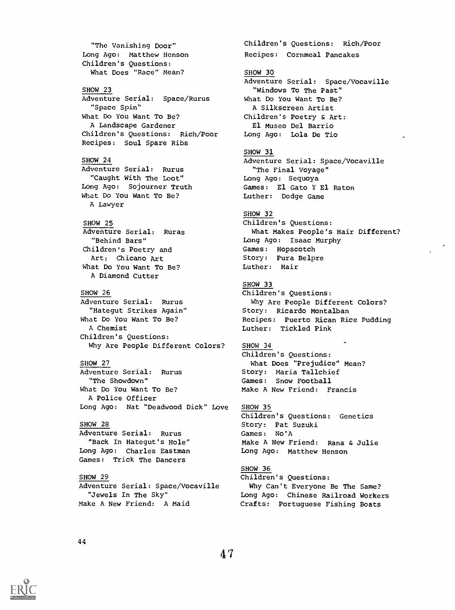"The Vanishing Door" Long Ago: Matthew Henson Children's Questions: What Does "Race" Mean? SHOW 23 Adventure Serial: Space/Rurus "Space Spin" What Do You Want To Be? A Landscape Gardener Children's Questions: Rich/Poor Recipes: Soul Spare Ribs SHOW 24 Adventure Serial: Rurus "Caught With The Loot" Long Ago: Sojourner Truth What Do You Want To Be? A Lawyer SHOW 25 Adventure Serial: Ruras "Behind Bars" Children's Poetry and Art: Chicano Art What Do You Want To Be? A Diamond Cutter SHOW 26 Adventure Serial: Rurus "Hategut Strikes Again" What Do You Want To Be? A Chemist Children's Questions: Why Are People Different Colors? SHOW 27 Adventure Serial: Rurus "The Showdown" What Do You Want To Be? A Police Officer Long Ago: Nat "Deadwood Dick" Love SHOW 28 Adventure Serial: Rurus "Back In Hategut's Hole" Long Ago: Charles Eastman Games: Trick The Dancers SHOW 29 Adventure Serial: Space/Vocaville "Jewels In The Sky" Make A New Friend: A Maid

Recipes: Cornmeal Pancakes SHOW 30 Adventure Serial: Space/Vocaville "Windows To The Past" What Do You Want To Be? A Silkscreen Artist Children's Poetry & Art: El Museo Del Barrio Long Ago: Lola De Tio SHOW 31 Adventure Serial: Space/Vocaville "The Final Voyage" Long Ago: Sequoya Games: El Gato Y El Raton Luther: Dodge Game SHOW 32 Children's Questions: What Makes People's Hair Different? Long Ago: Isaac Murphy Games: Hopscotch Story: Pura Belpre Luther: Hair SHOW 33 Children's Questions: Why Are People Different Colors? Story: Ricardo Montalban Recipes: Puerto Rican Rice Pudding Luther: Tickled Pink SHOW 34 Children's Questions: What Does "Prejudice" Mean? Story: Maria Tallchief Games: Snow Football Make A New Friend: Francis SHOW 35 Children's Questions: Genetics Story: Pat Suzuki Games: No'A Make A New Friend: Rana & Julie Long Ago: Matthew Henson SHOW 36 Children's Questions: Why Can't Everyone Be The Same? Long Ago: Chinese Railroad Workers Crafts: Portuguese Fishing Boats

Children's Questions: Rich/Poor

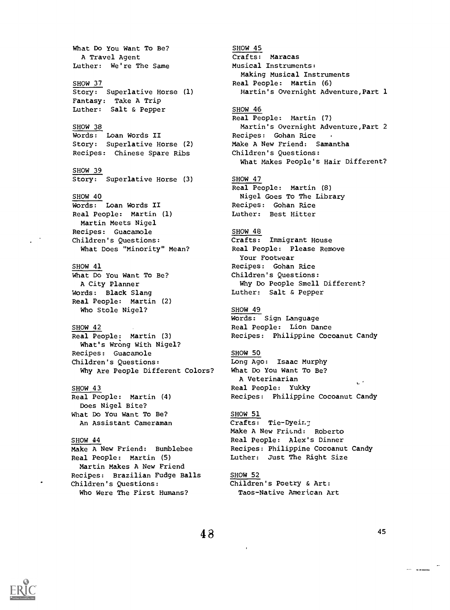What Do You Want To Be? A Travel Agent Luther: We're The Same SHOW 37 Story: Superlative Horse (1) Fantasy: Take A Trip Luther: Salt & Pepper SHOW 38 Words: Loan Words II Story: Superlative Horse (2) Recipes: Chinese Spare Ribs SHOW 39 Story: Superlative Horse (3) SHOW 40 Words: Loan Words II Real People: Martin (1) Martin Meets Nigel Recipes: Guacamole Children's Questions: What Does "Minority" Mean? SHOW 41 What Do You Want To Be? A City Planner Words: Black Slang Real People: Martin (2) Who Stole Nigel? SHOW 42 Real People: Martin (3) What's Wrong With Nigel? Recipes: Guacamole Children's Questions: Why Are People Different Colors? SHOW 43 Real People: Martin (4) Does Nigel Bite? What Do You Want To Be? An Assistant Cameraman SHOW 44 Make A New Friend: Bumblebee Real People: Martin (5) Martin Makes A New Friend Recipes: Brazilian Fudge Balls Children's Questions:

Who Were The First Humans?

Crafts: Maracas Musical Instruments: Making Musical Instruments Real People: Martin (6) Martin's Overnight Adventure, Part 1 SHOW 46 Real People: Martin (7) Martin's Overnight Adventure, Part 2 Recipes: Gohan Rice Make A New Friend: Samantha Children's Questions: What Makes People's Hair Different? SHOW 47 Real People: Martin (8) Nigel Goes To The Library Recipes: Gohan Rice Luther: Best Hitter SHOW 48 Crafts: Immigrant House Real People: Please Remove Your Footwear Recipes: Gohan Rice Children's Questions: Why Do People Smell Different? Luther: Salt & Pepper SHOW 49 Words: Sign Language Real People: Lion Dance Recipes: Philippine Cocoanut Candy SHOW 50 Long Ago: Isaac Murphy What Do You Want To Be? A Veterinarian  $\sim$   $^{\prime}$ Real People: Yukky Recipes: Philippine Cocoanut Candy SHOW 51 Crafts: Tie-Dyein; Make A New Friend: Roberto Real People: Alex's Dinner Recipes: Philippine Cocoanut Candy Luther: Just The Right Size SHOW 52

SHOW 45

Children's Poetry & Art: Taos-Native American Art

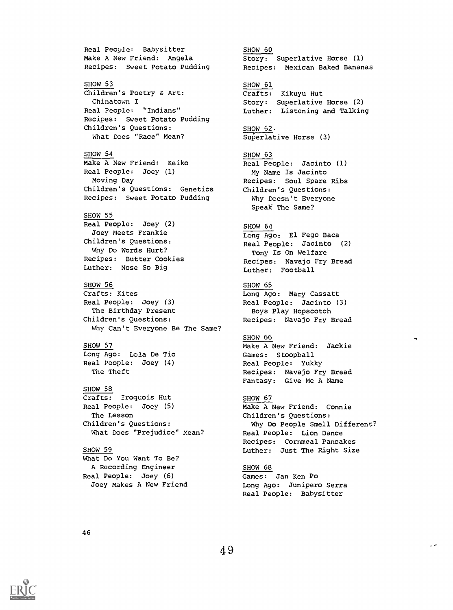Real People: Babysitter Make A New Friend: Angela Recipes: Sweet Potato Pudding SHOW 53 Children's Poetry & Art: Chinatown I Real People: "Indians" Recipes: Sweet Potato Pudding Children's Questions: What Does "Race" Mean? SHOW 54 Make A New Friend: Keiko Real People: Joey (1) Moving Day Children's Questions: Genetics Recipes: Sweet Potato Pudding SHOW 55 Real People: Joey (2) Joey Meets Frankie Children's Questions: Why Do Words Hurt? Recipes: Butter Cookies Luther: Nose So Big SHOW 56 Crafts: Kites Real People: Joey (3) The Birthday Present Children's Questions: Why Can't Everyone Be The Same? SHOW 57 Long Ago: Lola De Tio Real People: Joey (4) The Theft SHOW 58 Crafts: Iroquois Hut Real People: Joey (5) The Lesson Children's Questions: What Does "Prejudice" Mean? SHOW 59 What Do You Want To Be? A Recording Engineer Real People: Joey (6) Joey Makes A New Friend

SHOW 60 Story: Superlative Horse (1) Recipes: Mexican Baked Bananas SHOW 61 Crafts: Kikuyu Hut Story: Superlative Horse (2) Luther: Listening and Talking SHOW 62 Superlative Horse (3) SHOW 63 Real People: Jacinto (1) My Name Is Jacinto Recipes: Soul Spare Ribs Children's Questions: Why Doesn't Everyone Speak The Same? SHOW 64 Long Ago: El Fego Baca Real People: Jacinto (2) Tony Is On Welfare Recipes: Navajo Fry Bread Luther: Football SHOW 65 Long Ago: Mary Cassatt Real People: Jacinto (3) Boys Play Hopscotch Recipes: Navajo Fry Bread SHOW 66 Make A New Friend: Jackie Games: Stoopball Real People: Yukky Recipes: Navajo Fry Bread Fantasy: Give Me A Name SHOW 67 Make A New Friend: Connie Children's Questions: Why Do People Smell Different? Real People: Lion Dance Recipes: Cornmeal Pancakes Luther: Just The Right Size

SHOW 68 Games: Jan Ken Po Long Ago: Junipero Serra Real People: Babysitter